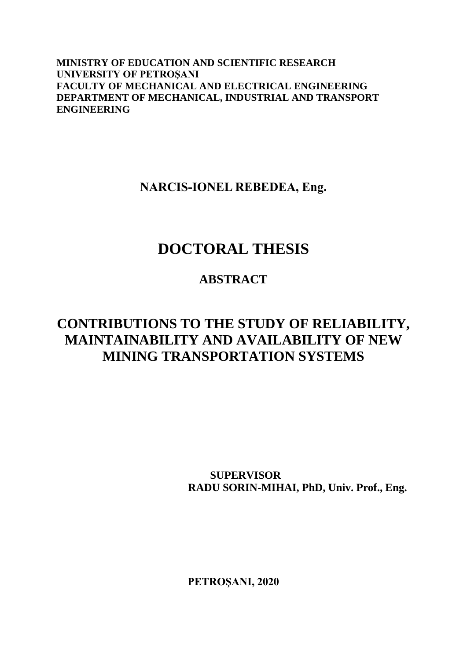**MINISTRY OF EDUCATION AND SCIENTIFIC RESEARCH UNIVERSITY OF PETROŞANI FACULTY OF MECHANICAL AND ELECTRICAL ENGINEERING DEPARTMENT OF MECHANICAL, INDUSTRIAL AND TRANSPORT ENGINEERING**

**NARCIS-IONEL REBEDEA, Eng.**

# **DOCTORAL THESIS**

## **ABSTRACT**

## **CONTRIBUTIONS TO THE STUDY OF RELIABILITY, MAINTAINABILITY AND AVAILABILITY OF NEW MINING TRANSPORTATION SYSTEMS**

 **SUPERVISOR RADU SORIN-MIHAI, PhD, Univ. Prof., Eng.**

**PETROŞANI, 2020**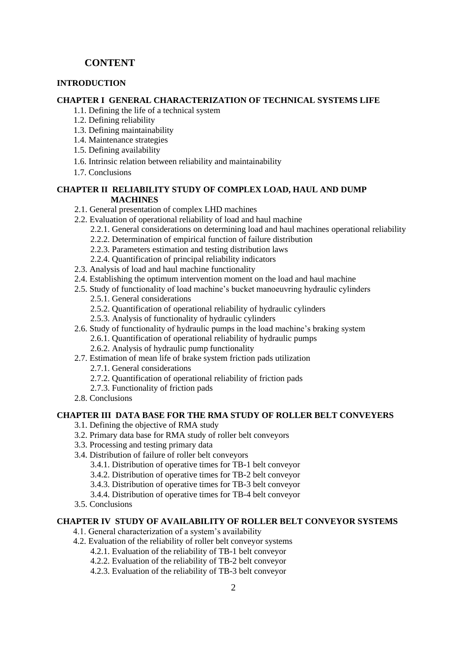## **CONTENT**

## **INTRODUCTION**

#### **CHAPTER I GENERAL CHARACTERIZATION OF TECHNICAL SYSTEMS LIFE**

- 1.1. Defining the life of a technical system
- 1.2. Defining reliability
- 1.3. Defining maintainability
- 1.4. Maintenance strategies
- 1.5. Defining availability
- 1.6. Intrinsic relation between reliability and maintainability
- 1.7. Conclusions

#### **CHAPTER II RELIABILITY STUDY OF COMPLEX LOAD, HAUL AND DUMP MACHINES**

- 2.1. General presentation of complex LHD machines
- 2.2. Evaluation of operational reliability of load and haul machine
	- 2.2.1. General considerations on determining load and haul machines operational reliability
	- 2.2.2. Determination of empirical function of failure distribution
	- 2.2.3. Parameters estimation and testing distribution laws
- 2.2.4. Quantification of principal reliability indicators
- 2.3. Analysis of load and haul machine functionality
- 2.4. Establishing the optimum intervention moment on the load and haul machine
- 2.5. Study of functionality of load machine's bucket manoeuvring hydraulic cylinders 2.5.1. General considerations
	- 2.5.2. Quantification of operational reliability of hydraulic cylinders
	- 2.5.3. Analysis of functionality of hydraulic cylinders
- 2.6. Study of functionality of hydraulic pumps in the load machine's braking system
- 2.6.1. Quantification of operational reliability of hydraulic pumps
	- 2.6.2. Analysis of hydraulic pump functionality
- 2.7. Estimation of mean life of brake system friction pads utilization
	- 2.7.1. General considerations
	- 2.7.2. Quantification of operational reliability of friction pads
	- 2.7.3. Functionality of friction pads
- 2.8. Conclusions

#### **CHAPTER III DATA BASE FOR THE RMA STUDY OF ROLLER BELT CONVEYERS**

- 3.1. Defining the objective of RMA study
- 3.2. Primary data base for RMA study of roller belt conveyors
- 3.3. Processing and testing primary data
- 3.4. Distribution of failure of roller belt conveyors
	- 3.4.1. Distribution of operative times for TB-1 belt conveyor
	- 3.4.2. Distribution of operative times for TB-2 belt conveyor
	- 3.4.3. Distribution of operative times for TB-3 belt conveyor
	- 3.4.4. Distribution of operative times for TB-4 belt conveyor
- 3.5. Conclusions

#### **CHAPTER IV STUDY OF AVAILABILITY OF ROLLER BELT CONVEYOR SYSTEMS**

- 4.1. General characterization of a system's availability
- 4.2. Evaluation of the reliability of roller belt conveyor systems
	- 4.2.1. Evaluation of the reliability of TB-1 belt conveyor
	- 4.2.2. Evaluation of the reliability of TB-2 belt conveyor
	- 4.2.3. Evaluation of the reliability of TB-3 belt conveyor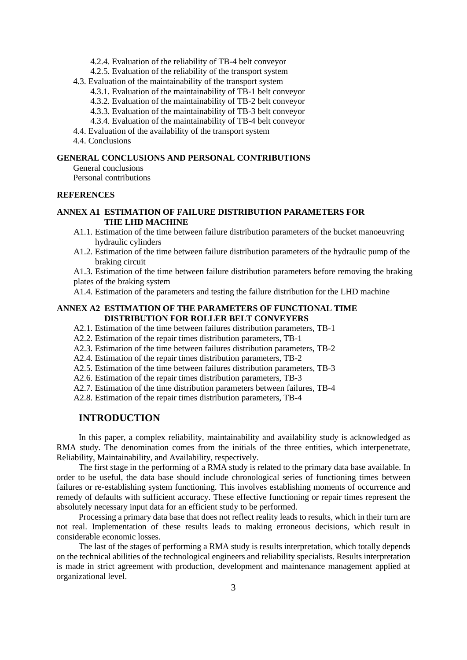- 4.2.4. Evaluation of the reliability of TB-4 belt conveyor
- 4.2.5. Evaluation of the reliability of the transport system
- 4.3. Evaluation of the maintainability of the transport system
	- 4.3.1. Evaluation of the maintainability of TB-1 belt conveyor
	- 4.3.2. Evaluation of the maintainability of TB-2 belt conveyor
	- 4.3.3. Evaluation of the maintainability of TB-3 belt conveyor
	- 4.3.4. Evaluation of the maintainability of TB-4 belt conveyor
- 4.4. Evaluation of the availability of the transport system
- 4.4. Conclusions

#### **GENERAL CONCLUSIONS AND PERSONAL CONTRIBUTIONS**

General conclusions

Personal contributions

#### **REFERENCES**

#### **ANNEX A1 ESTIMATION OF FAILURE DISTRIBUTION PARAMETERS FOR THE LHD MACHINE**

- A1.1. Estimation of the time between failure distribution parameters of the bucket manoeuvring hydraulic cylinders
- A1.2. Estimation of the time between failure distribution parameters of the hydraulic pump of the braking circuit

A1.3. Estimation of the time between failure distribution parameters before removing the braking plates of the braking system

A1.4. Estimation of the parameters and testing the failure distribution for the LHD machine

#### **ANNEX A2 ESTIMATION OF THE PARAMETERS OF FUNCTIONAL TIME DISTRIBUTION FOR ROLLER BELT CONVEYERS**

- A2.1. Estimation of the time between failures distribution parameters, TB-1
- A2.2. Estimation of the repair times distribution parameters, TB-1
- A2.3. Estimation of the time between failures distribution parameters, TB-2
- A2.4. Estimation of the repair times distribution parameters, TB-2
- A2.5. Estimation of the time between failures distribution parameters, TB-3
- A2.6. Estimation of the repair times distribution parameters, TB-3
- A2.7. Estimation of the time distribution parameters between failures, TB-4

A2.8. Estimation of the repair times distribution parameters, TB-4

## **INTRODUCTION**

In this paper, a complex reliability, maintainability and availability study is acknowledged as RMA study. The denomination comes from the initials of the three entities, which interpenetrate, Reliability, Maintainability, and Availability, respectively.

The first stage in the performing of a RMA study is related to the primary data base available. In order to be useful, the data base should include chronological series of functioning times between failures or re-establishing system functioning. This involves establishing moments of occurrence and remedy of defaults with sufficient accuracy. These effective functioning or repair times represent the absolutely necessary input data for an efficient study to be performed.

Processing a primary data base that does not reflect reality leads to results, which in their turn are not real. Implementation of these results leads to making erroneous decisions, which result in considerable economic losses.

The last of the stages of performing a RMA study is results interpretation, which totally depends on the technical abilities of the technological engineers and reliability specialists. Results interpretation is made in strict agreement with production, development and maintenance management applied at organizational level.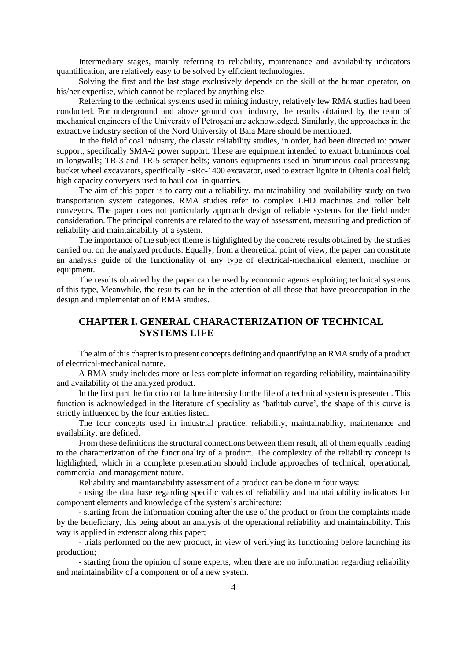Intermediary stages, mainly referring to reliability, maintenance and availability indicators quantification, are relatively easy to be solved by efficient technologies.

Solving the first and the last stage exclusively depends on the skill of the human operator, on his/her expertise, which cannot be replaced by anything else.

Referring to the technical systems used in mining industry, relatively few RMA studies had been conducted. For underground and above ground coal industry, the results obtained by the team of mechanical engineers of the University of Petroșani are acknowledged. Similarly, the approaches in the extractive industry section of the Nord University of Baia Mare should be mentioned.

In the field of coal industry, the classic reliability studies, in order, had been directed to: power support, specifically SMA-2 power support. These are equipment intended to extract bituminous coal in longwalls; TR-3 and TR-5 scraper belts; various equipments used in bituminous coal processing; bucket wheel excavators, specifically EsRc-1400 excavator, used to extract lignite in Oltenia coal field; high capacity conveyers used to haul coal in quarries.

The aim of this paper is to carry out a reliability, maintainability and availability study on two transportation system categories. RMA studies refer to complex LHD machines and roller belt conveyors. The paper does not particularly approach design of reliable systems for the field under consideration. The principal contents are related to the way of assessment, measuring and prediction of reliability and maintainability of a system.

The importance of the subject theme is highlighted by the concrete results obtained by the studies carried out on the analyzed products. Equally, from a theoretical point of view, the paper can constitute an analysis guide of the functionality of any type of electrical-mechanical element, machine or equipment.

The results obtained by the paper can be used by economic agents exploiting technical systems of this type, Meanwhile, the results can be in the attention of all those that have preoccupation in the design and implementation of RMA studies.

## **CHAPTER I. GENERAL CHARACTERIZATION OF TECHNICAL SYSTEMS LIFE**

The aim of this chapter is to present concepts defining and quantifying an RMA study of a product of electrical-mechanical nature.

A RMA study includes more or less complete information regarding reliability, maintainability and availability of the analyzed product.

In the first part the function of failure intensity for the life of a technical system is presented. This function is acknowledged in the literature of speciality as 'bathtub curve', the shape of this curve is strictly influenced by the four entities listed.

The four concepts used in industrial practice, reliability, maintainability, maintenance and availability, are defined.

From these definitions the structural connections between them result, all of them equally leading to the characterization of the functionality of a product. The complexity of the reliability concept is highlighted, which in a complete presentation should include approaches of technical, operational, commercial and management nature.

Reliability and maintainability assessment of a product can be done in four ways:

- using the data base regarding specific values of reliability and maintainability indicators for component elements and knowledge of the system's architecture;

- starting from the information coming after the use of the product or from the complaints made by the beneficiary, this being about an analysis of the operational reliability and maintainability. This way is applied in extensor along this paper:

- trials performed on the new product, in view of verifying its functioning before launching its production;

- starting from the opinion of some experts, when there are no information regarding reliability and maintainability of a component or of a new system.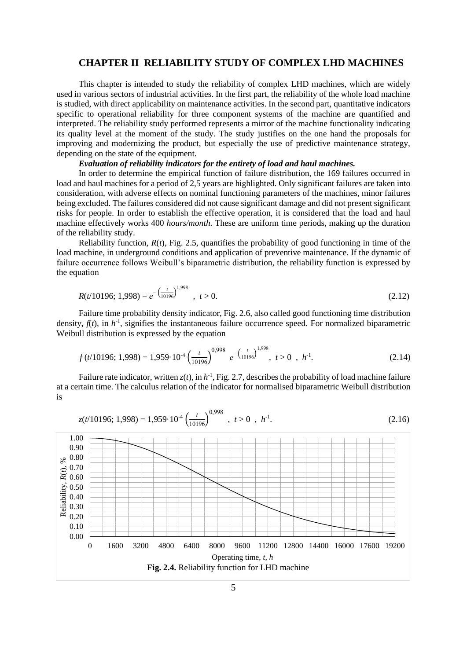#### **CHAPTER II RELIABILITY STUDY OF COMPLEX LHD MACHINES**

This chapter is intended to study the reliability of complex LHD machines, which are widely used in various sectors of industrial activities. In the first part, the reliability of the whole load machine is studied, with direct applicability on maintenance activities. In the second part, quantitative indicators specific to operational reliability for three component systems of the machine are quantified and interpreted. The reliability study performed represents a mirror of the machine functionality indicating its quality level at the moment of the study. The study justifies on the one hand the proposals for improving and modernizing the product, but especially the use of predictive maintenance strategy, depending on the state of the equipment.

#### *Evaluation of reliability indicators for the entirety of load and haul machines.*

In order to determine the empirical function of failure distribution, the 169 failures occurred in load and haul machines for a period of 2,5 years are highlighted. Only significant failures are taken into consideration, with adverse effects on nominal functioning parameters of the machines, minor failures being excluded. The failures considered did not cause significant damage and did not present significant risks for people. In order to establish the effective operation, it is considered that the load and haul machine effectively works 400 *hours/month*. These are uniform time periods, making up the duration of the reliability study.

Reliability function,  $R(t)$ , Fig. 2.5, quantifies the probability of good functioning in time of the load machine, in underground conditions and application of preventive maintenance. If the dynamic of failure occurrence follows Weibull's biparametric distribution, the reliability function is expressed by the equation

$$
R(t/10196; 1,998) = e^{-\left(\frac{t}{10196}\right)^{1,998}}, \quad t > 0.
$$
\n(2.12)

Failure time probability density indicator, Fig. 2.6, also called good functioning time distribution density,  $f(t)$ , in  $h^{-1}$ , signifies the instantaneous failure occurrence speed. For normalized biparametric Weibull distribution is expressed by the equation

$$
f(t/10196; 1,998) = 1,959 \cdot 10^{-4} \left(\frac{t}{10196}\right)^{0,998} e^{-\left(\frac{t}{10196}\right)^{1,998}}, t > 0, h^{-1}.
$$
 (2.14)

Failure rate indicator, written  $z(t)$ , in  $h^{-1}$ , Fig. 2.7, describes the probability of load machine failure at a certain time. The calculus relation of the indicator for normalised biparametric Weibull distribution is

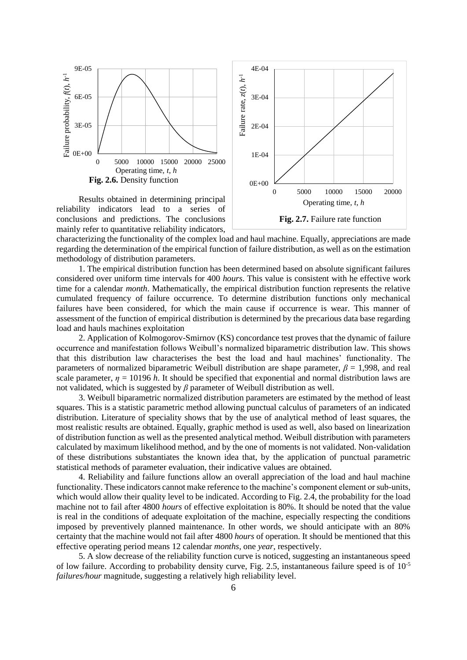

reliability indicators lead to a series of conclusions and predictions. The conclusions mainly refer to quantitative reliability indicators,

**Fig. 2.7.** Failure rate function

characterizing the functionality of the complex load and haul machine. Equally, appreciations are made regarding the determination of the empirical function of failure distribution, as well as on the estimation methodology of distribution parameters.

1. The empirical distribution function has been determined based on absolute significant failures considered over uniform time intervals for 400 *hours*. This value is consistent with he effective work time for a calendar *month*. Mathematically, the empirical distribution function represents the relative cumulated frequency of failure occurrence. To determine distribution functions only mechanical failures have been considered, for which the main cause if occurrence is wear. This manner of assessment of the function of empirical distribution is determined by the precarious data base regarding load and hauls machines exploitation

2. Application of Kolmogorov-Smirnov (KS) concordance test proves that the dynamic of failure occurrence and manifestation follows Weibull's normalized biparametric distribution law. This shows that this distribution law characterises the best the load and haul machines' functionality. The parameters of normalized biparametric Weibull distribution are shape parameter, *β* = 1,998, and real scale parameter,  $\eta = 10196$  *h*. It should be specified that exponential and normal distribution laws are not validated, which is suggested by *β* parameter of Weibull distribution as well.

3. Weibull biparametric normalized distribution parameters are estimated by the method of least squares. This is a statistic parametric method allowing punctual calculus of parameters of an indicated distribution. Literature of speciality shows that by the use of analytical method of least squares, the most realistic results are obtained. Equally, graphic method is used as well, also based on linearization of distribution function as well as the presented analytical method. Weibull distribution with parameters calculated by maximum likelihood method, and by the one of moments is not validated. Non-validation of these distributions substantiates the known idea that, by the application of punctual parametric statistical methods of parameter evaluation, their indicative values are obtained.

4. Reliability and failure functions allow an overall appreciation of the load and haul machine functionality. These indicators cannot make reference to the machine's component element or sub-units, which would allow their quality level to be indicated. According to Fig. 2.4, the probability for the load machine not to fail after 4800 *hours* of effective exploitation is 80%. It should be noted that the value is real in the conditions of adequate exploitation of the machine, especially respecting the conditions imposed by preventively planned maintenance. In other words, we should anticipate with an 80% certainty that the machine would not fail after 4800 *hours* of operation. It should be mentioned that this effective operating period means 12 calendar *months*, one *year*, respectively.

5. A slow decrease of the reliability function curve is noticed, suggesting an instantaneous speed of low failure. According to probability density curve, Fig. 2.5, instantaneous failure speed is of  $10^{-5}$ *failures/hour* magnitude, suggesting a relatively high reliability level.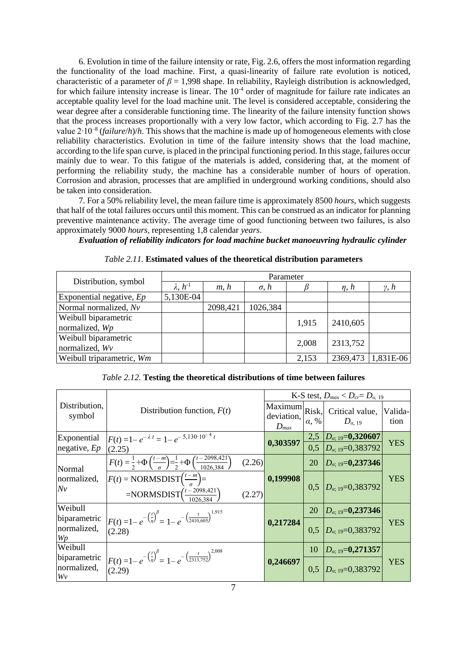6. Evolution in time of the failure intensity or rate, Fig. 2.6, offers the most information regarding the functionality of the load machine. First, a quasi-linearity of failure rate evolution is noticed, characteristic of a parameter of  $\beta = 1,998$  shape. In reliability, Rayleigh distribution is acknowledged, for which failure intensity increase is linear. The 10<sup>-4</sup> order of magnitude for failure rate indicates an acceptable quality level for the load machine unit. The level is considered acceptable, considering the wear degree after a considerable functioning time. The linearity of the failure intensity function shows that the process increases proportionally with a very low factor, which according to Fig. 2.7 has the value 2∙10–8 (*failure*/*h*)/*h*. This shows that the machine is made up of homogeneous elements with close reliability characteristics. Evolution in time of the failure intensity shows that the load machine, according to the life span curve, is placed in the principal functioning period. In this stage, failures occur mainly due to wear. To this fatigue of the materials is added, considering that, at the moment of performing the reliability study, the machine has a considerable number of hours of operation. Corrosion and abrasion, processes that are amplified in underground working conditions, should also be taken into consideration.

7. For a 50% reliability level, the mean failure time is approximately 8500 *hours*, which suggests that half of the total failures occurs until this moment. This can be construed as an indicator for planning preventive maintenance activity. The average time of good functioning between two failures, is also approximately 9000 *hours*, representing 1,8 calendar *years*.

*Evaluation of reliability indicators for load machine bucket manoeuvring hydraulic cylinder* 

|                            | Parameter         |          |                |       |              |                |  |  |
|----------------------------|-------------------|----------|----------------|-------|--------------|----------------|--|--|
| Distribution, symbol       | $\lambda, h^{-1}$ | m, h     | $\sigma$ , $h$ |       | $\eta$ , $h$ | $\gamma$ , $h$ |  |  |
| Exponential negative, $Ep$ | 5,130E-04         |          |                |       |              |                |  |  |
| Normal normalized, Nv      |                   | 2098,421 | 1026,384       |       |              |                |  |  |
| Weibull biparametric       |                   |          |                | 1,915 | 2410,605     |                |  |  |
| normalized, Wp             |                   |          |                |       |              |                |  |  |
| Weibull biparametric       |                   |          |                | 2,008 | 2313,752     |                |  |  |
| normalized, Wv             |                   |          |                |       |              |                |  |  |
| Weibull triparametric, Wm  |                   |          |                | 2,153 | 2369,473     | 1,831E-06      |  |  |

*Table 2.11.* **Estimated values of the theoretical distribution parameters**

|  | <i>Table 2.12.</i> Testing the theoretical distributions of time between failures |
|--|-----------------------------------------------------------------------------------|
|--|-----------------------------------------------------------------------------------|

|                                   |                                                                                                                                   |                                    |              | K-S test, $D_{max} < D_{cr} = D_{\alpha, 19}$           |                 |
|-----------------------------------|-----------------------------------------------------------------------------------------------------------------------------------|------------------------------------|--------------|---------------------------------------------------------|-----------------|
| Distribution,<br>symbol           | Distribution function, $F(t)$                                                                                                     | Maximum<br>deviation,<br>$D_{max}$ | $\alpha$ , % | Risk, Critical value,<br>$D_{\alpha, 19}$               | Valida-<br>tion |
| Exponential<br>negative, $Ep$     | $F(t) = 1 - e^{-\lambda t} = 1 - e^{-5,130 \cdot 10^{-4} t}$<br>(2.25)                                                            | 0,303597                           | 2,5<br>0.5   | $ D_{\alpha; 19}=0,320607 $<br>$D_{\alpha:19}=0,383792$ | <b>YES</b>      |
| Normal                            | $F(t) = \frac{1}{2} + \Phi\left(\frac{t-m}{\sigma}\right) = \frac{1}{2} + \Phi\left(\frac{t-2098,421}{1026,384}\right)$<br>(2.26) |                                    | 20           | $D_{\alpha; 19} = 0,237346$                             |                 |
| normalized,<br>Nv                 | $F(t)$ = NORMSDIST $\left(\frac{t-m}{a}\right)$ =<br>$=NORMSDIST(\frac{t-2098,421}{1000})$<br>(2.27)                              | 0,199908                           | 0.5          | $D_{\alpha:19}=0.383792$                                | <b>YES</b>      |
| Weibull                           |                                                                                                                                   |                                    | 20           | $D_{\alpha; 19} = 0,237346$                             |                 |
| biparametric<br>normalized,<br>Wp | $F(t) = 1 - e^{-\left(\frac{t}{\eta}\right)^{\beta}} = 1 - e^{-\left(\frac{t}{2410,605}\right)^{1,915}}$<br>(2.28)                | 0,217284                           | 0.5          | $D_{\alpha:19}=0,383792$                                | <b>YES</b>      |
| Weibull                           |                                                                                                                                   |                                    | 10           | $D_{\alpha; 19} = 0,271357$                             |                 |
| biparametric<br>normalized,<br>Wv | $F(t) = 1 - e^{-\left(\frac{t}{\eta}\right)^{\beta}} = 1 - e^{-\left(\frac{t}{2313,752}\right)^{2,008}}$<br>(2.29)                | 0,246697                           | 0.5          | $D_{\alpha:19}=0,383792$                                | <b>YES</b>      |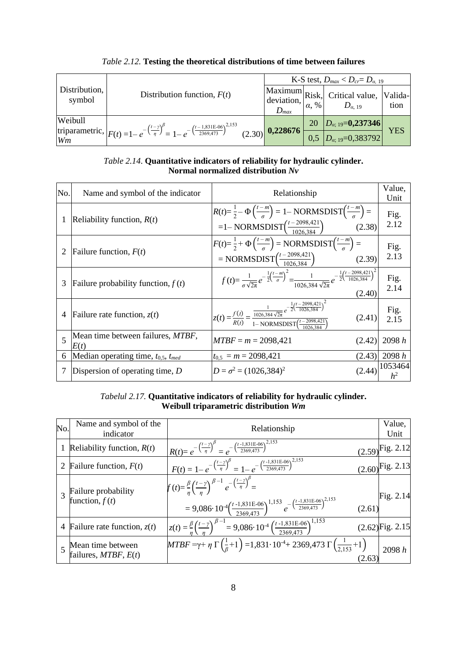|                         |                                                                                                                                           | K-S test, $D_{max} < D_{cr} = D_{\alpha, 19}$ |              |                                                          |                 |
|-------------------------|-------------------------------------------------------------------------------------------------------------------------------------------|-----------------------------------------------|--------------|----------------------------------------------------------|-----------------|
| Distribution,<br>symbol | Distribution function, $F(t)$                                                                                                             | deviation,<br>$D_{max}$                       | $\alpha$ , % | $ Maximum Risk $ Critical value,<br>$D_{\alpha, 19}$     | Valida-<br>tion |
| Weibull                 |                                                                                                                                           |                                               | 20           | $D_{\alpha; 19} = 0,237346$                              |                 |
| Wm                      | triparametric, $ F(t) = 1 - e^{-\left(\frac{t-\gamma}{\eta}\right)^{\beta}} = 1 - e^{-\left(\frac{t-1,831E-06}{2369,473}\right)^{2,153}}$ | $(2.30)$ 0,228676                             |              | $\left[0,5\right]$ $\left[D_{\alpha;19}=0,383792\right]$ | YES             |

## *Table 2.12.* **Testing the theoretical distributions of time between failures**

#### *Table 2.14*. **Quantitative indicators of reliability for hydraulic cylinder. Normal normalized distribution** *Nv*

| No. | Name and symbol of the indicator                  | Relationship                                                                                                                                                                                    | Value,<br>Unit              |
|-----|---------------------------------------------------|-------------------------------------------------------------------------------------------------------------------------------------------------------------------------------------------------|-----------------------------|
|     | Reliability function, $R(t)$                      | $R(t)=\frac{1}{2}-\Phi\left(\frac{t-m}{\sigma}\right)=1-\text{NORMSDIST}\left(\frac{t-m}{\sigma}\right)=$<br>$=1-\text{NORMSDIST}\Big(\frac{t-2098,421}{1026,384}\Big)$ (2.38)                  | Fig.<br>2.12                |
|     | Failure function, $F(t)$                          | $F(t)=\frac{1}{2}+\Phi\left(\frac{t-m}{\sigma}\right)=\text{NORMSDIST}\left(\frac{t-m}{\sigma}\right)=$<br>= NORMSDIST $\left(\frac{t-2098,421}{1026,384}\right)$<br>(2.39)                     | Fig.<br>2.13                |
| 3   | Failure probability function, $f(t)$              | $f(t) = \frac{1}{\sigma \sqrt{2\pi}} e^{-\frac{1}{2} \left(\frac{t-m}{\sigma}\right)^2} = \frac{1}{1026.384 \sqrt{2\pi}} e^{-\frac{1}{2} \left(\frac{t-2098.421}{1026.384}\right)^2}$<br>(2.40) | Fig.<br>2.14                |
| 4   | Failure rate function, $z(t)$                     | $z(t) = \frac{f(t)}{R(t)} = \frac{\frac{1}{1026,384\sqrt{2\pi}} e^{-\frac{1}{2} (\frac{t - 2098,421}{1026,384})^2}}{1 - \text{NORMSDIST} (\frac{t - 2098,421}{1026,384})}$<br>(2.41)            | Fig.<br>2.15                |
| 5   | Mean time between failures, <i>MTBF</i> ,<br>E(t) | $MTBF = m = 2098,421$<br>(2.42)                                                                                                                                                                 | 2098 h                      |
| 6   | Median operating time, $t_{0,5}$ , $t_{med}$      | $t_{0.5} = m = 2098,421$<br>(2.43)                                                                                                                                                              | 2098 h                      |
|     | Dispersion of operating time, $D$                 | $D = \sigma^2 = (1026, 384)^2$                                                                                                                                                                  | $(2.44)$ <sup>1053464</sup> |

## *Tabelul 2.17.* **Quantitative indicators of reliability for hydraulic cylinder. Weibull triparametric distribution** *Wm*

| No. | Name and symbol of the<br>indicator                   | Relationship                                                                                                                                                                                                                                                                 | Value,<br>Unit       |
|-----|-------------------------------------------------------|------------------------------------------------------------------------------------------------------------------------------------------------------------------------------------------------------------------------------------------------------------------------------|----------------------|
|     | Reliability function, $R(t)$                          | $R(t) = e^{-\left(\frac{t-\gamma}{\eta}\right)^{\beta}} = e^{-\left(\frac{t-1,831E-06}{2369,473}\right)^{2,153}}$                                                                                                                                                            | $(2.59)$ Fig. 2.12   |
| 2   | Failure function, $F(t)$                              | $F(t) = 1 - e^{-\left(\frac{t-\gamma}{\eta}\right)^{\beta}} = 1 - e^{-\left(\frac{t-1,831E-06}{2369,473}\right)^{2,\overline{153}}}$                                                                                                                                         | $(2.60)^{Fig. 2.13}$ |
|     | Failure probability<br>function, $f(t)$               | $f(t) = \frac{\beta}{n} \left(\frac{t-\gamma}{n}\right)^{\beta-1} e^{-\left(\frac{t-\gamma}{\eta}\right)^{\beta}} =$<br>$(2.61)$ Fig. 2.14<br>$=9,086\cdot 10^{-4} \left(\frac{t-1,831E-06}{2369,473}\right)^{1,153} e^{-\left(\frac{t-1,831E-06}{2369,473}\right)^{2,153}}$ |                      |
| 4   | Failure rate function, $z(t)$                         | $z(t) = \frac{\beta}{\eta} \left(\frac{t-\gamma}{\eta}\right)^{\beta-1} = 9,086 \cdot 10^{-4} \left(\frac{t-1,831E-06}{2369.473}\right)^{1,153}$                                                                                                                             | $(2.62)$ Fig. 2.15   |
|     | $\sim$ Mean time between<br>failures, $MTBF$ , $E(t)$ | $MTBF = \gamma + \eta \Gamma(\frac{1}{6} + 1) = 1,831 \cdot 10^{-4} + 2369,473 \Gamma(\frac{1}{2,153} + 1)$<br>(2.63)                                                                                                                                                        | 2098 h               |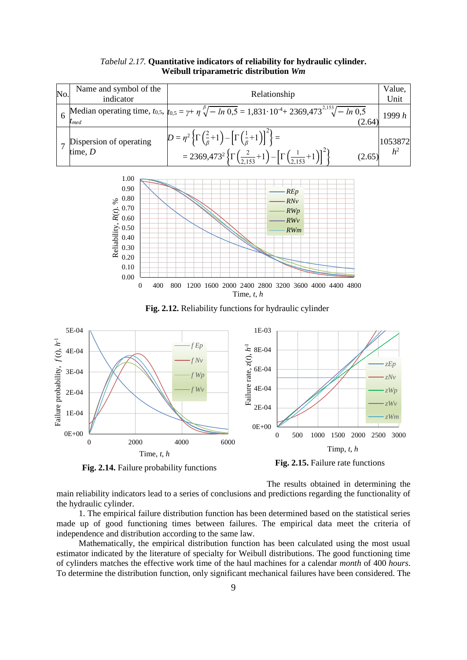| No. | Name and symbol of the<br>indicator  | Relationship                                                                                                                                                                                                                                                                          | Value,<br>Unit            |
|-----|--------------------------------------|---------------------------------------------------------------------------------------------------------------------------------------------------------------------------------------------------------------------------------------------------------------------------------------|---------------------------|
|     | $t_{med}$                            | 6 Median operating time, $t_{0.5}$ , $t_{0.5} = \gamma + \eta \sqrt[3]{-\ln 0.5} = 1.831 \cdot 10^{-4} + 2369.473^{2.153} \sqrt{-\ln 0.5}$<br>(2.64)                                                                                                                                  | 1999 $h$                  |
|     | Dispersion of operating<br>time, $D$ | $D = \eta^2 \left\{ \Gamma \left( \frac{2}{\beta} + 1 \right) - \left[ \Gamma \left( \frac{1}{\beta} + 1 \right) \right]^2 \right\} =$<br>= 2369,473 <sup>2</sup> $\left\{\Gamma\left(\frac{2}{2,153}+1\right)-\left[\Gamma\left(\frac{1}{2,153}+1\right)\right]^2\right\}$<br>(2.65) | 1053872<br>h <sup>2</sup> |

#### *Tabelul 2.17.* **Quantitative indicators of reliability for hydraulic cylinder. Weibull triparametric distribution** *Wm*



**Fig. 2.12.** Reliability functions for hydraulic cylinder



**Fig. 2.14.** Failure probability functions

**Fig. 2.15.** Failure rate functions

The results obtained in determining the main reliability indicators lead to a series of conclusions and predictions regarding the functionality of the hydraulic cylinder.

1. The empirical failure distribution function has been determined based on the statistical series made up of good functioning times between failures. The empirical data meet the criteria of independence and distribution according to the same law.

Mathematically, the empirical distribution function has been calculated using the most usual estimator indicated by the literature of specialty for Weibull distributions. The good functioning time of cylinders matches the effective work time of the haul machines for a calendar *month* of 400 *hours*. To determine the distribution function, only significant mechanical failures have been considered. The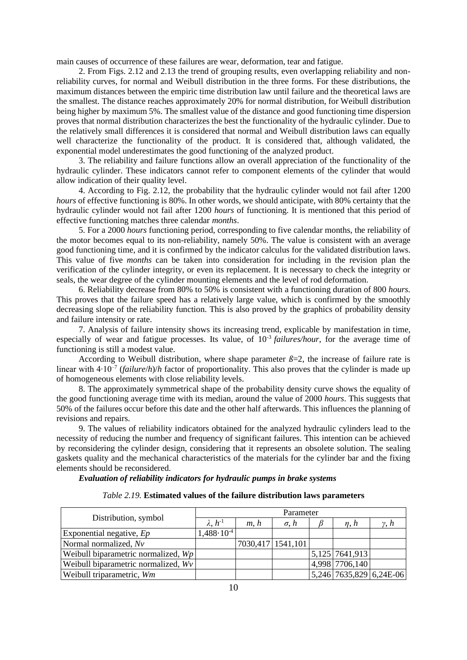main causes of occurrence of these failures are wear, deformation, tear and fatigue.

2. From Figs. 2.12 and 2.13 the trend of grouping results, even overlapping reliability and nonreliability curves, for normal and Weibull distribution in the three forms. For these distributions, the maximum distances between the empiric time distribution law until failure and the theoretical laws are the smallest. The distance reaches approximately 20% for normal distribution, for Weibull distribution being higher by maximum 5%. The smallest value of the distance and good functioning time dispersion proves that normal distribution characterizes the best the functionality of the hydraulic cylinder. Due to the relatively small differences it is considered that normal and Weibull distribution laws can equally well characterize the functionality of the product. It is considered that, although validated, the exponential model underestimates the good functioning of the analyzed product.

3. The reliability and failure functions allow an overall appreciation of the functionality of the hydraulic cylinder. These indicators cannot refer to component elements of the cylinder that would allow indication of their quality level.

4. According to Fig. 2.12, the probability that the hydraulic cylinder would not fail after 1200 *hours* of effective functioning is 80%. In other words, we should anticipate, with 80% certainty that the hydraulic cylinder would not fail after 1200 *hours* of functioning. It is mentioned that this period of effective functioning matches three calendar *months*.

5. For a 2000 *hours* functioning period, corresponding to five calendar months, the reliability of the motor becomes equal to its non-reliability, namely 50%. The value is consistent with an average good functioning time, and it is confirmed by the indicator calculus for the validated distribution laws. This value of five *months* can be taken into consideration for including in the revision plan the verification of the cylinder integrity, or even its replacement. It is necessary to check the integrity or seals, the wear degree of the cylinder mounting elements and the level of rod deformation.

6. Reliability decrease from 80% to 50% is consistent with a functioning duration of 800 *hours.* This proves that the failure speed has a relatively large value, which is confirmed by the smoothly decreasing slope of the reliability function. This is also proved by the graphics of probability density and failure intensity or rate.

7. Analysis of failure intensity shows its increasing trend, explicable by manifestation in time, especially of wear and fatigue processes. Its value, of 10-3 *failures/hour*, for the average time of functioning is still a modest value.

According to Weibull distribution, where shape parameter  $\beta=2$ , the increase of failure rate is linear with 4∙10–7 (*failure*/*h*)/*h* factor of proportionality. This also proves that the cylinder is made up of homogeneous elements with close reliability levels.

8. The approximately symmetrical shape of the probability density curve shows the equality of the good functioning average time with its median, around the value of 2000 *hours*. This suggests that 50% of the failures occur before this date and the other half afterwards. This influences the planning of revisions and repairs.

9. The values of reliability indicators obtained for the analyzed hydraulic cylinders lead to the necessity of reducing the number and frequency of significant failures. This intention can be achieved by reconsidering the cylinder design, considering that it represents an obsolete solution. The sealing gaskets quality and the mechanical characteristics of the materials for the cylinder bar and the fixing elements should be reconsidered.

*Evaluation of reliability indicators for hydraulic pumps in brake systems*

| <i>Table 2.19.</i> Estimated values of the failure distribution laws parameters |  |  |  |
|---------------------------------------------------------------------------------|--|--|--|
|---------------------------------------------------------------------------------|--|--|--|

|                                       | Parameter            |      |                   |  |                         |             |  |
|---------------------------------------|----------------------|------|-------------------|--|-------------------------|-------------|--|
| Distribution, symbol                  | $\lambda, h^{-1}$    | m, h | $\sigma$ . $h$    |  | n, h                    | $\nu$ . $h$ |  |
| Exponential negative, $Ep$            | $1,488\cdot 10^{-4}$ |      |                   |  |                         |             |  |
| Normal normalized, Nv                 |                      |      | 7030,417 1541,101 |  |                         |             |  |
| Weibull biparametric normalized, $Wp$ |                      |      |                   |  | 5,125 7641,913          |             |  |
| Weibull biparametric normalized, $Wv$ |                      |      |                   |  | 4,998 7706,140          |             |  |
| Weibull triparametric, Wm             |                      |      |                   |  | 5,246 7635,829 6,24E-06 |             |  |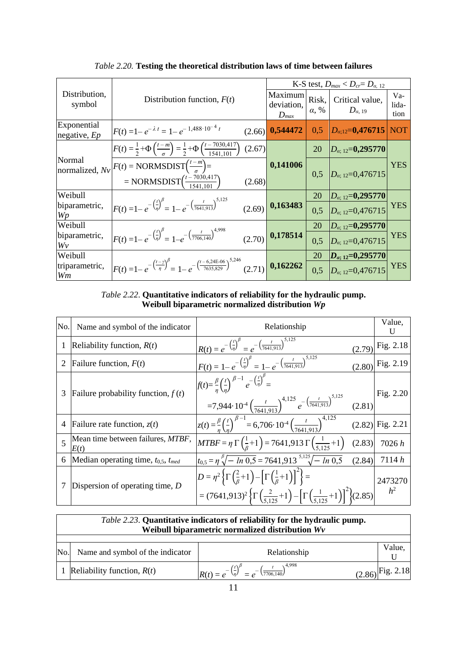|                               |                                                                                                                                                 |        |                                    |                       | K-S test, $D_{max} < D_{cr} = D_{\alpha, 12}$ |                      |
|-------------------------------|-------------------------------------------------------------------------------------------------------------------------------------------------|--------|------------------------------------|-----------------------|-----------------------------------------------|----------------------|
| Distribution,<br>symbol       | Distribution function, $F(t)$                                                                                                                   |        | Maximum<br>deviation,<br>$D_{max}$ | Risk,<br>$\alpha, \%$ | Critical value,<br>$D_{\alpha,\; 19}$         | Va-<br>lida-<br>tion |
| Exponential<br>negative, $Ep$ | $F(t) = 1 - e^{-\lambda t} = 1 - e^{-1.488 \cdot 10^{-4} t}$                                                                                    | (2.66) | 0,544472                           | 0,5                   | $D_{\alpha:12}$ =0,476715 NOT                 |                      |
|                               | $F(t) = \frac{1}{2} + \Phi\left(\frac{t-m}{\sigma}\right) = \frac{1}{2} + \Phi\left(\frac{t-7030,417}{1541,101}\right)$                         | (2.67) |                                    | 20                    | $D_{\alpha; 12}=0,295770$                     |                      |
| Normal                        | normalized, $Nv$ $F(t)$ = NORMSDIST $\left(\frac{t-m}{a}\right)$ =<br>= NORMSDIST $\left(\frac{t-7030,417}{1541,101}\right)$                    | (2.68) | 0,141006                           |                       | 0,5 $D_{\alpha;12}=0,476715$                  | <b>YES</b>           |
| Weibull                       |                                                                                                                                                 |        |                                    | 20                    | $D_{\alpha; 12}=0,295770$                     |                      |
| biparametric,<br>Wp           | $F(t) = 1 - e^{-\left(\frac{t}{\eta}\right)^{\beta}} = 1 - e^{-\left(\frac{t}{7641,913}\right)^{5,125}}$                                        |        | $(2.69)$ 0,163483                  | 0,5                   | $D_{\alpha: 12}=0,476715$                     | <b>YES</b>           |
| Weibull                       |                                                                                                                                                 |        |                                    | 20                    | $D_{\alpha; 12}=$ <b>0,295770</b>             |                      |
| biparametric,<br>Wv           | $F(t) = 1 - e^{-\left(\frac{t}{\eta}\right)^{\beta}} = 1 - e^{-\left(\frac{t}{7706,140}\right)^{4,998}}$ (2.70) <b>0,178514</b>                 |        |                                    | 0.5                   | $D_{\alpha;12}=0,476715$                      | <b>YES</b>           |
| Weibull                       |                                                                                                                                                 |        |                                    | 20                    | $\left D_{\alpha;\;12}=0,295770\right $       |                      |
| triparametric,<br>Wm          | $F(t) = 1 - e^{-\left(\frac{t-\gamma}{\eta}\right)^{\beta}} = 1 - e^{-\left(\frac{t-6.24E-06}{7635,829}\right)^{5,246}}$ (2.71) <b>0,162262</b> |        |                                    | 0,5                   | $D_{\alpha;12}=0,476715$                      | <b>YES</b>           |

*Table 2.20.* **Testing the theoretical distribution laws of time between failures**

*Table 2.22*. **Quantitative indicators of reliability for the hydraulic pump. Weibull biparametric normalized distribution** *Wp*

| No. | Name and symbol of the indicator             | Relationship                                                                                                                                                                                                                                                                       | Value,<br>U        |
|-----|----------------------------------------------|------------------------------------------------------------------------------------------------------------------------------------------------------------------------------------------------------------------------------------------------------------------------------------|--------------------|
|     | Reliability function, $R(t)$                 | $R(t) = e^{-\left(\frac{t}{\eta}\right)^{\beta}} = e^{-\left(\frac{t}{7641,913}\right)^{5,125}}$<br>(2.79)                                                                                                                                                                         | Fig. 2.18          |
|     | Failure function, $F(t)$                     | $F(t) = 1 - e^{-\left(\frac{t}{\eta}\right)^{\beta}} = 1 - e^{-\left(\frac{t}{7641,913}\right)^{5,125}}$                                                                                                                                                                           | $(2.80)$ Fig. 2.19 |
| 3   | Failure probability function, $f(t)$         | $f(t) = \frac{\beta}{n} \left(\frac{t}{n}\right)^{\beta-1} e^{-\left(\frac{t}{n}\right)^{\beta}} =$<br>$=7,944.10^{4} \left(\frac{t}{7641,913}\right)^{4,125} e^{-\left(\frac{t}{7641,913}\right)^{5,125}}$ (2.81)                                                                 | Fig. 2.20          |
| 4   | Failure rate function, $z(t)$                | $\left  z(t) = \frac{\beta}{n} \left( \frac{t}{n} \right)^{\beta - 1} \right  = 6,706 \cdot 10^{-4} \left( \frac{t}{7641,913} \right)^{4,125}$ (2.82) Fig. 2.21                                                                                                                    |                    |
| 5   | Mean time between failures, MTBF,<br>E(t)    | $MTBF = \eta \Gamma \left( \frac{1}{\beta} + 1 \right) = 7641,913 \Gamma \left( \frac{1}{5.125} + 1 \right)$<br>(2.83)                                                                                                                                                             | 7026h              |
| 6   | Median operating time, $t_{0.5}$ , $t_{med}$ | $t_{0.5} = \eta \sqrt[3]{- \ln 0.5} = 7641.913^{5.125} \sqrt{- \ln 0.5}$<br>(2.84)                                                                                                                                                                                                 | 7114h              |
|     | Dispersion of operating time, $D$            | $D = \eta^2 \left\{ \Gamma \left( \frac{2}{\beta} + 1 \right) - \left[ \Gamma \left( \frac{1}{\beta} + 1 \right) \right]^2 \right\} =$<br>$=(7641,913)^2 \left\{ \Gamma \left( \frac{2}{5125}+1 \right) - \left[ \Gamma \left( \frac{1}{5125}+1 \right) \right]^2 \right\} (2.85)$ | 2473270<br>$h^2$   |

|     | <i>Table 2.23.</i> Quantitative indicators of reliability for the hydraulic pump.<br>Weibull biparametric normalized distribution Wv |                                                                                                   |                               |  |  |  |
|-----|--------------------------------------------------------------------------------------------------------------------------------------|---------------------------------------------------------------------------------------------------|-------------------------------|--|--|--|
| No. | Name and symbol of the indicator                                                                                                     | Relationship                                                                                      | Value,                        |  |  |  |
|     | Reliability function, $R(t)$                                                                                                         | 4,998<br>$R(t) = e^{-\left(\frac{t}{\eta}\right)^{t}} = e^{-\left(\frac{t}{7706,140}\right)^{t}}$ | $(2.86)$ <sup>Fig. 2.18</sup> |  |  |  |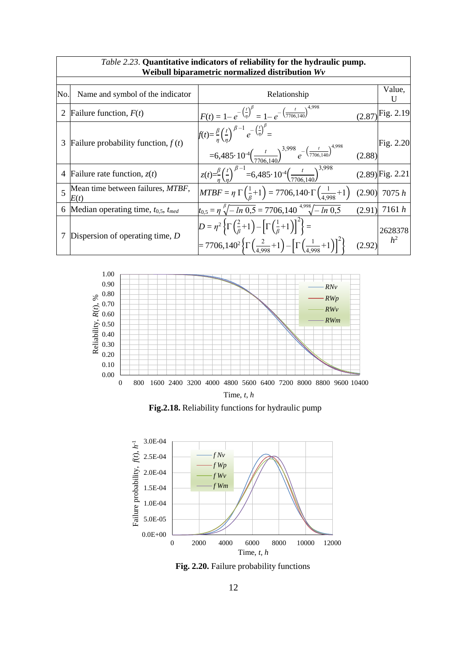|     |                                              | <i>Table 2.25</i> . Quantitative indicators of rehability for the hydraulic pump.<br>Weibull biparametric normalized distribution Wv                                                                                                                                        |        |                                                                 |
|-----|----------------------------------------------|-----------------------------------------------------------------------------------------------------------------------------------------------------------------------------------------------------------------------------------------------------------------------------|--------|-----------------------------------------------------------------|
| No. | Name and symbol of the indicator             | Relationship                                                                                                                                                                                                                                                                |        | Value,                                                          |
| 2   | Failure function, $F(t)$                     | $F(t) = 1 - e^{-\left(\frac{t}{\eta}\right)^{\beta}} = 1 - e^{-\left(\frac{t}{7706,140}\right)^{4,998}}$                                                                                                                                                                    |        | $(2.87)$ Fig. 2.19                                              |
| 3   | Failure probability function, $f(t)$         | $f(t) = \frac{\beta}{n} \left(\frac{t}{n}\right)^{\beta-1} e^{-\left(\frac{t}{n}\right)^{\beta}} =$<br>$= 6,485 \cdot 10^{-4} \left(\frac{t}{7706,140}\right)^{3,998} e^{-\left(\frac{t}{7706,140}\right)^{4,998}}$                                                         |        | $\begin{bmatrix} \text{Fig. 2.20} \\ \text{2.88} \end{bmatrix}$ |
| 4   | Failure rate function, $z(t)$                | $z(t) = \frac{\beta}{n} \left(\frac{t}{n}\right)^{\beta-1} = 6,485 \cdot 10^{-4} \left(\frac{t}{7706 \cdot 140}\right)^{3,998}$                                                                                                                                             |        | $(2.89)$ Fig. 2.21                                              |
| 5   | Mean time between failures, MTBF,<br>E(t)    | $MTBF = \eta \Gamma \left( \frac{1}{6} + 1 \right) = 7706,140 \cdot \Gamma \left( \frac{1}{4.998} + 1 \right)$                                                                                                                                                              |        | $(2.90)$ 7075 h                                                 |
| 6   | Median operating time, $t_{0,5}$ , $t_{med}$ | $t_{0,5} = \eta \sqrt[3]{-\ln 0.5} = 7706,140 \sqrt[4.998]{-\ln 0.5}$                                                                                                                                                                                                       |        | $(2.91)$ 7161 h                                                 |
|     | Dispersion of operating time, $D$            | $D = \eta^2 \left\{ \Gamma \left( \frac{2}{\beta} + 1 \right) - \left[ \Gamma \left( \frac{1}{\beta} + 1 \right) \right]^2 \right\} =$<br>= 7706,140 <sup>2</sup> $\left\{\Gamma\left(\frac{2}{4,998}+1\right)-\left[\Gamma\left(\frac{1}{4,998}+1\right)\right]^2\right\}$ | (2.92) | 2628378<br>$h^2$                                                |

# *Table 2.23*. **Quantitative indicators of reliability for the hydraulic pump.**



**Fig.2.18.** Reliability functions for hydraulic pump



**Fig. 2.20.** Failure probability functions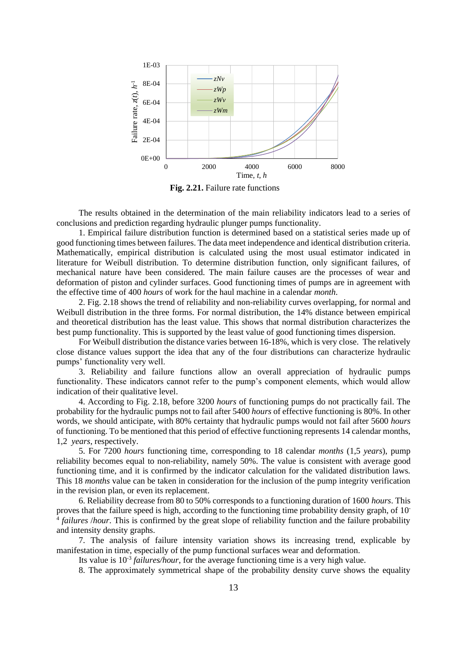

**Fig. 2.21.** Failure rate functions

The results obtained in the determination of the main reliability indicators lead to a series of conclusions and prediction regarding hydraulic plunger pumps functionality.

1. Empirical failure distribution function is determined based on a statistical series made up of good functioning times between failures. The data meet independence and identical distribution criteria. Mathematically, empirical distribution is calculated using the most usual estimator indicated in literature for Weibull distribution. To determine distribution function, only significant failures, of mechanical nature have been considered. The main failure causes are the processes of wear and deformation of piston and cylinder surfaces. Good functioning times of pumps are in agreement with the effective time of 400 *hours* of work for the haul machine in a calendar *month*.

2. Fig. 2.18 shows the trend of reliability and non-reliability curves overlapping, for normal and Weibull distribution in the three forms. For normal distribution, the 14% distance between empirical and theoretical distribution has the least value. This shows that normal distribution characterizes the best pump functionality. This is supported by the least value of good functioning times dispersion.

For Weibull distribution the distance varies between 16-18%, which is very close. The relatively close distance values support the idea that any of the four distributions can characterize hydraulic pumps' functionality very well.

3. Reliability and failure functions allow an overall appreciation of hydraulic pumps functionality. These indicators cannot refer to the pump's component elements, which would allow indication of their qualitative level.

4. According to Fig. 2.18, before 3200 *hours* of functioning pumps do not practically fail. The probability for the hydraulic pumps not to fail after 5400 *hours* of effective functioning is 80%. In other words, we should anticipate, with 80% certainty that hydraulic pumps would not fail after 5600 *hours* of functioning. To be mentioned that this period of effective functioning represents 14 calendar months, 1,2 *years*, respectively.

5. For 7200 *hours* functioning time, corresponding to 18 calendar *months* (1,5 *years*), pump reliability becomes equal to non-reliability, namely 50%. The value is consistent with average good functioning time, and it is confirmed by the indicator calculation for the validated distribution laws. This 18 *months* value can be taken in consideration for the inclusion of the pump integrity verification in the revision plan, or even its replacement.

6. Reliability decrease from 80 to 50% corresponds to a functioning duration of 1600 *hours*. This proves that the failure speed is high, according to the functioning time probability density graph, of 10<sup>-</sup> 4 *failures* /*hour*. This is confirmed by the great slope of reliability function and the failure probability and intensity density graphs.

7. The analysis of failure intensity variation shows its increasing trend, explicable by manifestation in time, especially of the pump functional surfaces wear and deformation.

Its value is 10<sup>-3</sup> *failures/hour*, for the average functioning time is a very high value.

8. The approximately symmetrical shape of the probability density curve shows the equality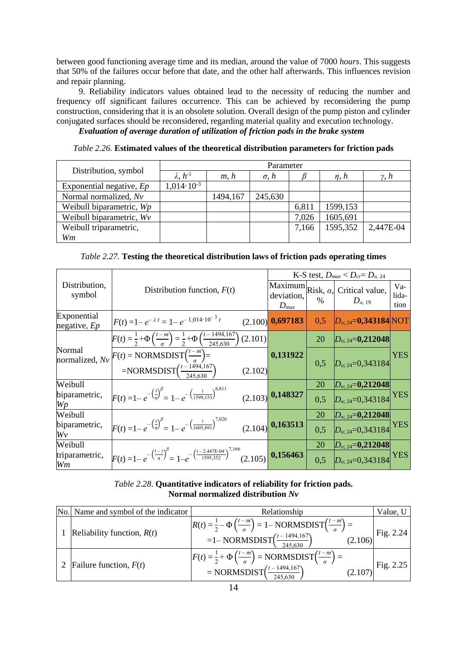between good functioning average time and its median, around the value of 7000 *hours*. This suggests that 50% of the failures occur before that date, and the other half afterwards. This influences revision and repair planning.

9. Reliability indicators values obtained lead to the necessity of reducing the number and frequency off significant failures occurrence. This can be achieved by reconsidering the pump construction, considering that it is an obsolete solution. Overall design of the pump piston and cylinder conjugated surfaces should be reconsidered, regarding material quality and execution technology.

*Evaluation of average duration of utilization of friction pads in the brake system*

*Table 2.26.* **Estimated values of the theoretical distribution parameters for friction pads**

|                            |                      |          | Parameter      |       |              |                |
|----------------------------|----------------------|----------|----------------|-------|--------------|----------------|
| Distribution, symbol       | $\lambda, h^{-1}$    | m, h     | $\sigma$ , $h$ |       | $\eta$ , $h$ | $\gamma$ , $h$ |
| Exponential negative, $Ep$ | $1,014\cdot 10^{-3}$ |          |                |       |              |                |
| Normal normalized, Nv      |                      | 1494,167 | 245,630        |       |              |                |
| Weibull biparametric, Wp   |                      |          |                | 6,811 | 1599,153     |                |
| Weibull biparametric, Wv   |                      |          |                | 7,026 | 1605,691     |                |
| Weibull triparametric,     |                      |          |                | 7,166 | 1595,352     | 2,447E-04      |
| Wm                         |                      |          |                |       |              |                |

*Table 2.27.* **Testing the theoretical distribution laws of friction pads operating times**

|                               |                                                                                                                                                       |                         | K-S test, $D_{max} < D_{cr} = D_{\alpha, 24}$ |                                                              |                      |  |  |  |  |
|-------------------------------|-------------------------------------------------------------------------------------------------------------------------------------------------------|-------------------------|-----------------------------------------------|--------------------------------------------------------------|----------------------|--|--|--|--|
| Distribution,<br>symbol       | Distribution function, $F(t)$                                                                                                                         | deviation,<br>$D_{max}$ | $\%$                                          | Maximum $Risk, \alpha$ , Critical value,<br>$D_{\alpha, 19}$ | Va-<br>lida-<br>tion |  |  |  |  |
| Exponential<br>negative, $Ep$ | $F(t) = 1 - e^{-\lambda t} = 1 - e^{-1.014 \cdot 10^{-3} t}$                                                                                          | $(2.100)$ 0,697183      | 0.5                                           | $D_{\alpha; 24} = 0,343184$ NOT                              |                      |  |  |  |  |
|                               | $F(t) = \frac{1}{2} + \Phi\left(\frac{t-m}{\sigma}\right) = \frac{1}{2} + \Phi\left(\frac{t-1494,167}{245,630}\right)$<br>(2.101)                     |                         | 20                                            | $D_{\alpha;24}$ =0,212048                                    |                      |  |  |  |  |
| Normal                        | normalized, $Nv$ $F(t)$ = NORMSDIST $\left(\frac{t-m}{a}\right)$ =<br>=NORMSDIST $\left(\frac{t-\frac{1494,167}{245,630}}{245,630}\right)$<br>(2.102) | 0,131922                | 0,5                                           | $D_{\alpha;\,24}=0,343184$                                   | <b>YES</b>           |  |  |  |  |
| Weibull                       |                                                                                                                                                       |                         | 20                                            | $D_{\alpha;\,24} = 0,212048$                                 |                      |  |  |  |  |
| biparametric,<br>Wp           | $F(t) = 1 - e^{-\left(\frac{t}{\eta}\right)^{\beta}} = 1 - e^{-\left(\frac{t}{1599,153}\right)^{6,811}}$                                              | $(2.103)$ 0,148327      | 0.5                                           | $\left D_{\alpha;\,24}=0,343184\right {\rm YES}$             |                      |  |  |  |  |
| Weibull                       |                                                                                                                                                       |                         | <b>20</b>                                     | $D_{\alpha;\,24} = 0,212048$                                 |                      |  |  |  |  |
| biparametric,<br>Wv           | $F(t) = 1 - e^{-\left(\frac{t}{\eta}\right)^{\beta}} = 1 - e^{-\left(\frac{t}{1605,691}\right)^{7,026}}$ (2.104) <b>0,163513</b>                      |                         | 0,5                                           | $D_{\alpha:24}=0,343184$                                     | <b>YES</b>           |  |  |  |  |
| Weibull                       |                                                                                                                                                       |                         | 20                                            | $D_{\alpha;\,24}$ =0,212048                                  |                      |  |  |  |  |
| triparametric,<br>Wm          | $F(t) = 1 - e^{-\left(\frac{t-\gamma}{\eta}\right)^{\beta}} = 1 - e^{-\left(\frac{t-2.447E-04}{1595,352}\right)^{7,166}}$ (2.105) <b>0.156463</b>     |                         | 0.5                                           | $D_{\alpha/24}$ =0.343184                                    | <b>YES</b>           |  |  |  |  |

## *Table 2.28*. **Quantitative indicators of reliability for friction pads. Normal normalized distribution** *Nv*

| No. Name and symbol of the indicator | Relationship                                                                                                                                                                                   | Value, U |
|--------------------------------------|------------------------------------------------------------------------------------------------------------------------------------------------------------------------------------------------|----------|
| Reliability function, $R(t)$         | $R(t) = \frac{1}{2} - \Phi\left(\frac{t-m}{\sigma}\right) = 1 - NORMSDIST\left(\frac{t-m}{\sigma}\right) =$<br>$(2.106)$ Fig. 2.24<br>=1- NORMSDIST $\left(\frac{t-1494,167}{245,630}\right)$  |          |
| 2   Failure function, $F(t)$         | $F(t) = \frac{1}{2} + \Phi\left(\frac{t-m}{\sigma}\right) = \text{NORMSDIST}\left(\frac{t-m}{\sigma}\right) =$<br>$(2.107)$ Fig. 2.25<br>= NORMSDIST $\left(\frac{t-1494,167}{245,630}\right)$ |          |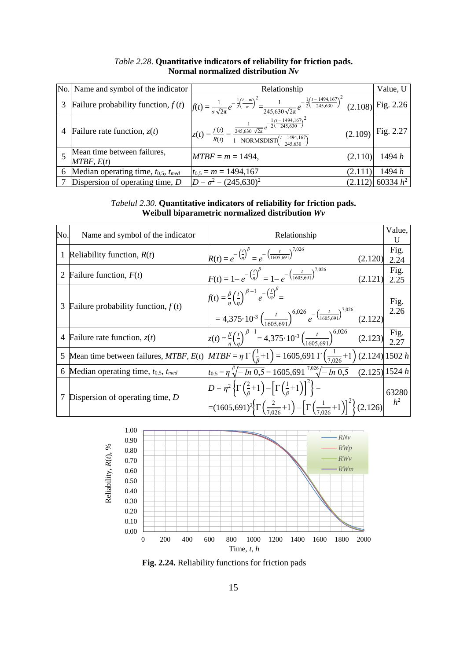|   | No. Name and symbol of the indicator         | Relationship                                                                                                                                                                                          | Value, U             |
|---|----------------------------------------------|-------------------------------------------------------------------------------------------------------------------------------------------------------------------------------------------------------|----------------------|
| 3 | Failure probability function, $f(t)$         | $f(t) = \frac{1}{\sigma \sqrt{2\pi}} e^{-\frac{1}{2} \left(\frac{t-m}{\sigma}\right)^2} = \frac{1}{245,630 \sqrt{2\pi}} e^{-\frac{1}{2} \left(\frac{t-1494,167}{245,630}\right)^2}$ (2.108) Fig. 2.26 |                      |
| 4 | Failure rate function, $z(t)$                | $z(t) = \frac{f(t)}{R(t)} = \frac{\frac{1}{245,630 \sqrt{2\pi}} e^{-\frac{1}{2} (\frac{t - 1494,167}{245,630})^2}}{1 - \text{NORMSDIST} (\frac{t - 1494,167}{245,620})}$                              | $(2.109)$ Fig. 2.27  |
|   | Mean time between failures,<br>MTBF, E(t)    | $MTBF = m = 1494,$<br>(2.110                                                                                                                                                                          | 1494 h               |
| 6 | Median operating time, $t_{0.5}$ , $t_{med}$ | $t_{0,5} = m = 1494,167$<br>(2.111                                                                                                                                                                    | 1494 h               |
|   | Dispersion of operating time, $D$            | $D = \sigma^2 = (245,630)^2$                                                                                                                                                                          | $(2.112)$ 60334 $h2$ |

### *Table 2.28*. **Quantitative indicators of reliability for friction pads. Normal normalized distribution** *Nv*

*Tabelul 2.30*. **Quantitative indicators of reliability for friction pads. Weibull biparametric normalized distribution** *Wv*

| No. | Name and symbol of the indicator             | Relationship                                                                                                                                                                                                                                                            | Value,<br>U    |
|-----|----------------------------------------------|-------------------------------------------------------------------------------------------------------------------------------------------------------------------------------------------------------------------------------------------------------------------------|----------------|
| 1   | Reliability function, $R(t)$                 | $R(t) = e^{-\left(\frac{t}{\eta}\right)^{\beta}} = e^{-\left(\frac{t}{1605,691}\right)^{7,026}}$<br>(2.120)                                                                                                                                                             | Fig.<br>2.24   |
| 2   | Failure function, $F(t)$                     | $F(t) = 1 - e^{-\left(\frac{t}{\eta}\right)^{\beta}} = 1 - e^{-\left(\frac{t}{1605,691}\right)^{7,026}}$<br>(2.121)                                                                                                                                                     | Fig.<br>2.25   |
| 3   | Failure probability function, $f(t)$         | $f(t) = \frac{\beta}{n} \left(\frac{t}{n}\right)^{\beta-1} e^{-\left(\frac{t}{n}\right)^{\beta}} =$<br>= 4,375·10 <sup>-3</sup> $\left(\frac{t}{1605,691}\right)^{6,026} e^{-\left(\frac{t}{1605,691}\right)^{7,026}}$ (2.122)                                          | Fig.<br>2.26   |
|     | 4 Failure rate function, $z(t)$              | $z(t) = \frac{\beta}{\gamma} \left(\frac{t}{r}\right)^{\beta - 1} = 4{,}375 \cdot 10^{-3} \left(\frac{t}{1605.691}\right)^{6{,}026}$ (2.123) $\begin{bmatrix} \text{Fig.} \\ 2.77 \end{bmatrix}$                                                                        |                |
| 5   | Mean time between failures, $MTBF$ , $E(t)$  | $MTBF = \eta \Gamma \left( \frac{1}{\beta} + 1 \right) = 1605,691 \Gamma \left( \frac{1}{7,026} + 1 \right) (2.124) 1502 h$                                                                                                                                             |                |
| 6   | Median operating time, $t_{0.5}$ , $t_{med}$ | $t_{0.5} = \eta \sqrt[3]{-\ln 0.5} = 1605,691 \sqrt[7.026]{-\ln 0.5}$ (2.125) 1524 h                                                                                                                                                                                    |                |
|     | Dispersion of operating time, $D$            | $D = \eta^2 \left\{ \Gamma \left( \frac{2}{\beta} + 1 \right) - \left[ \Gamma \left( \frac{1}{\beta} + 1 \right) \right]^2 \right\} =$<br>$\left[\frac{1}{2}(1605,691)^2\left(\frac{2}{7026}+1\right)-\left[\Gamma\left(\frac{1}{7026}+1\right)\right]^2\right](2.126)$ | 63280<br>$h^2$ |



**Fig. 2.24.** Reliability functions for friction pads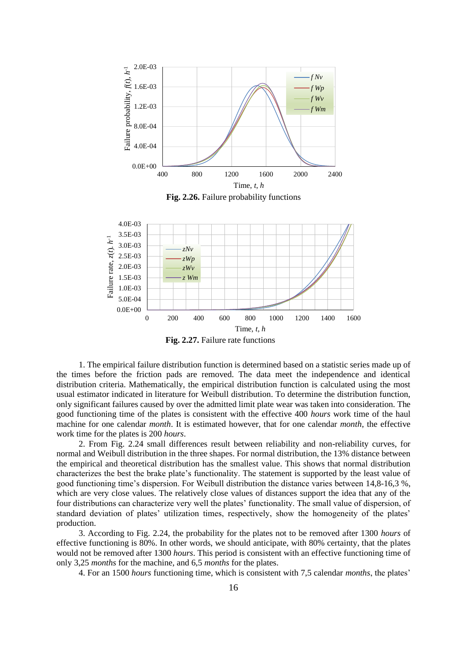

Fig. 2.26. Failure probability functions



**Fig. 2.27.** Failure rate functions

1. The empirical failure distribution function is determined based on a statistic series made up of the times before the friction pads are removed. The data meet the independence and identical distribution criteria. Mathematically, the empirical distribution function is calculated using the most usual estimator indicated in literature for Weibull distribution. To determine the distribution function, only significant failures caused by over the admitted limit plate wear was taken into consideration. The good functioning time of the plates is consistent with the effective 400 *hours* work time of the haul machine for one calendar *month*. It is estimated however, that for one calendar *month*, the effective work time for the plates is 200 *hours*.

2. From Fig. 2.24 small differences result between reliability and non-reliability curves, for normal and Weibull distribution in the three shapes. For normal distribution, the 13% distance between the empirical and theoretical distribution has the smallest value. This shows that normal distribution characterizes the best the brake plate's functionality. The statement is supported by the least value of good functioning time's dispersion. For Weibull distribution the distance varies between 14,8-16,3 %, which are very close values. The relatively close values of distances support the idea that any of the four distributions can characterize very well the plates' functionality. The small value of dispersion, of standard deviation of plates' utilization times, respectively, show the homogeneity of the plates' production.

3. According to Fig. 2.24, the probability for the plates not to be removed after 1300 *hours* of effective functioning is 80%. In other words, we should anticipate, with 80% certainty, that the plates would not be removed after 1300 *hours*. This period is consistent with an effective functioning time of only 3,25 *months* for the machine, and 6,5 *months* for the plates.

4. For an 1500 *hours* functioning time, which is consistent with 7,5 calendar *months*, the plates'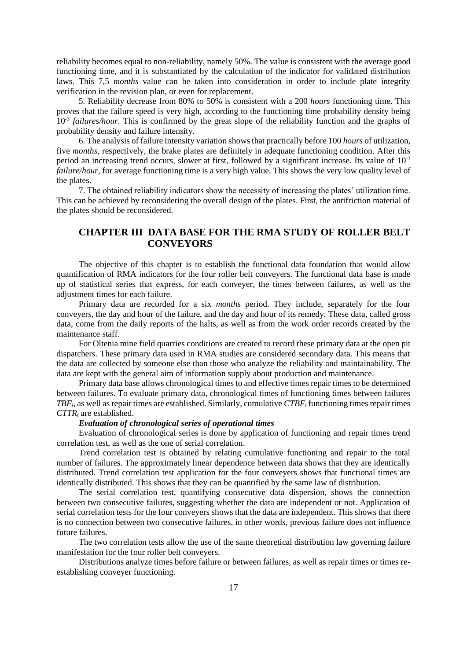reliability becomes equal to non-reliability, namely 50%. The value is consistent with the average good functioning time, and it is substantiated by the calculation of the indicator for validated distribution laws. This 7,5 *months* value can be taken into consideration in order to include plate integrity verification in the revision plan, or even for replacement.

5. Reliability decrease from 80% to 50% is consistent with a 200 *hours* functioning time. This proves that the failure speed is very high, according to the functioning time probability density being 10<sup>-3</sup> failures/hour. This is confirmed by the great slope of the reliability function and the graphs of probability density and failure intensity.

6. The analysis of failure intensity variation shows that practically before 100 *hours* of utilization, five *months*, respectively, the brake plates are definitely in adequate functioning condition. After this period an increasing trend occurs, slower at first, followed by a significant increase. Its value of  $10^{-3}$ *failure/hour*, for average functioning time is a very high value. This shows the very low quality level of the plates.

7. The obtained reliability indicators show the necessity of increasing the plates' utilization time. This can be achieved by reconsidering the overall design of the plates. First, the antifriction material of the plates should be reconsidered.

## **CHAPTER III DATA BASE FOR THE RMA STUDY OF ROLLER BELT CONVEYORS**

The objective of this chapter is to establish the functional data foundation that would allow quantification of RMA indicators for the four roller belt conveyers. The functional data base is made up of statistical series that express, for each conveyer, the times between failures, as well as the adjustment times for each failure.

Primary data are recorded for a six *months* period. They include, separately for the four conveyers, the day and hour of the failure, and the day and hour of its remedy. These data, called gross data, come from the daily reports of the halts, as well as from the work order records created by the maintenance staff.

For Oltenia mine field quarries conditions are created to record these primary data at the open pit dispatchers. These primary data used in RMA studies are considered secondary data. This means that the data are collected by someone else than those who analyze the reliability and maintainability. The data are kept with the general aim of information supply about production and maintenance.

Primary data base allows chronological times to and effective times repair times to be determined between failures. To evaluate primary data, chronological times of functioning times between failures *TBFi*, as well as repair times are established. Similarly, cumulative *CTBF<sup>i</sup>* functioning times repair times *CTTR<sup>i</sup>* are established.

#### *Evaluation of chronological series of operational times*

Evaluation of chronological series is done by application of functioning and repair times trend correlation test, as well as the one of serial correlation.

Trend correlation test is obtained by relating cumulative functioning and repair to the total number of failures. The approximately linear dependence between data shows that they are identically distributed. Trend correlation test application for the four conveyers shows that functional times are identically distributed. This shows that they can be quantified by the same law of distribution.

The serial correlation test, quantifying consecutive data dispersion, shows the connection between two consecutive failures, suggesting whether the data are independent or not. Application of serial correlation tests for the four conveyers shows that the data are independent. This shows that there is no connection between two consecutive failures, in other words, previous failure does not influence future failures.

The two correlation tests allow the use of the same theoretical distribution law governing failure manifestation for the four roller belt conveyers.

Distributions analyze times before failure or between failures, as well as repair times or times reestablishing conveyer functioning.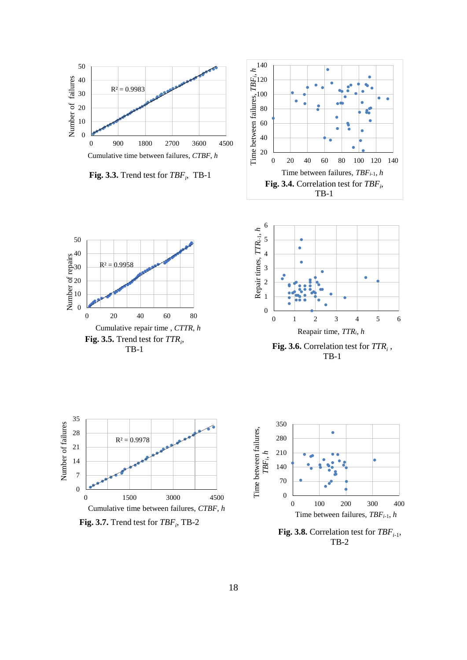

**Fig. 3.3.** Trend test for *TBF<sup>i</sup>* , TB-1







**Fig. 3.6.** Correlation test for *TTR<sup>i</sup>* , TB-1



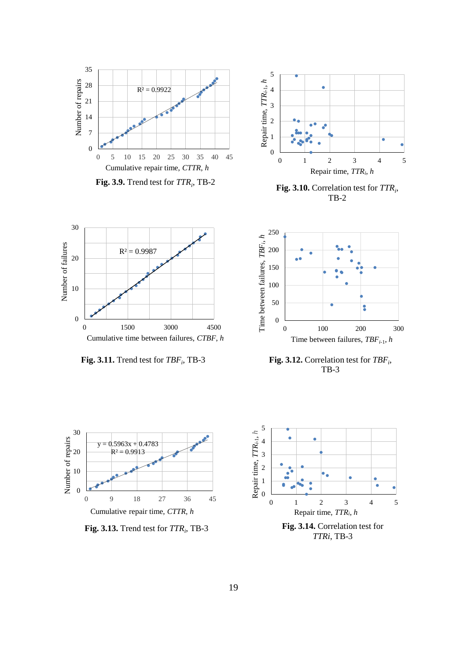

**Fig. 3.9.** Trend test for *TTR<sup>i</sup>* , TB-2



**Fig. 3.10.** Correlation test for *TTR<sup>i</sup>* , TB-2



**Fig. 3.11.** Trend test for *TBF<sup>i</sup>* , TB-3







**Fig. 3.13.** Trend test for *TTR<sup>i</sup>* , TB-3



*TTRi*, TB-3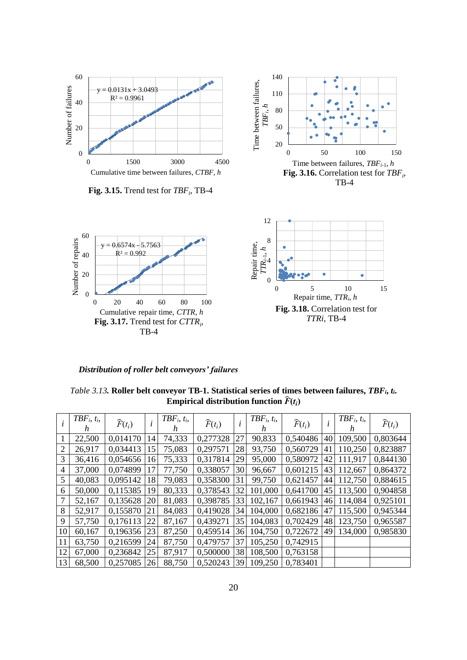

**Fig. 3.15.** Trend test for *TBF<sup>i</sup>* , TB-4





*Distribution of roller belt conveyors' failures*

*Table 3.13.* **Roller belt conveyor TB-1. Statistical series of times between failures,** *TBFi***,** *ti***.**  Empirical distribution function  $\widehat{F}(t_i)$ 

|                | $TBF_i, t_i,$<br>h | $\widehat{F}(t_i)$ | i  | $TBF_i, t_i,$<br>h | $\widehat{F}(t_i)$ | l  | $TBF_i, t_i,$<br>h | $\widehat{F}(t_i)$ |    | $TBF_i, t_i,$<br>h | $\widehat{F}(t_i)$ |
|----------------|--------------------|--------------------|----|--------------------|--------------------|----|--------------------|--------------------|----|--------------------|--------------------|
|                | 22,500             | 0,014170           | 14 | 74,333             | 0,277328           | 27 | 90,833             | 0,540486           | 40 | 109,500            | 0,803644           |
| $\overline{2}$ | 26,917             | 0,034413           | 15 | 75,083             | 0,297571           | 28 | 93,750             | 0,560729           | 41 | 110,250            | 0,823887           |
| 3              | 36,416             | 0,054656           | 16 | 75,333             | 0,317814           | 29 | 95,000             | 0,580972           | 42 | 111,917            | 0,844130           |
| 4              | 37,000             | 0,074899           | 17 | 77,750             | 0.338057           | 30 | 96,667             | 0,601215           | 43 | 112,667            | 0,864372           |
| 5              | 40,083             | 0,095142           | 18 | 79,083             | 0,358300           | 31 | 99,750             | 0,621457           | 44 | 112,750            | 0,884615           |
| 6              | 50,000             | 0,115385           | 19 | 80,333             | 0.378543           | 32 | 101,000            | 0,641700           | 45 | 113,500            | 0,904858           |
| 7              | 52,167             | 0,135628           | 20 | 81,083             | 0.398785           | 33 | 102,167            | 0.661943           | 46 | 114,084            | 0.925101           |
| 8              | 52,917             | 0,155870           | 21 | 84,083             | 0,419028           | 34 | 104,000            | 0,682186           | 47 | 115,500            | 0,945344           |
| 9              | 57,750             | 0,176113           | 22 | 87,167             | 0,439271           | 35 | 104,083            | 0,702429           | 48 | 123,750            | 0,965587           |
| 10             | 60,167             | 0,196356           | 23 | 87,250             | 0,459514           | 36 | 104,750            | 0,722672           | 49 | 134,000            | 0,985830           |
| 11             | 63,750             | 0,216599           | 24 | 87,750             | 0,479757           | 37 | 105,250            | 0.742915           |    |                    |                    |
| 12             | 67,000             | 0,236842           | 25 | 87,917             | 0.500000           | 38 | 108,500            | 0,763158           |    |                    |                    |
| 13             | 68,500             | 0,257085           | 26 | 88,750             | 0.520243           | 39 | 109,250            | 0,783401           |    |                    |                    |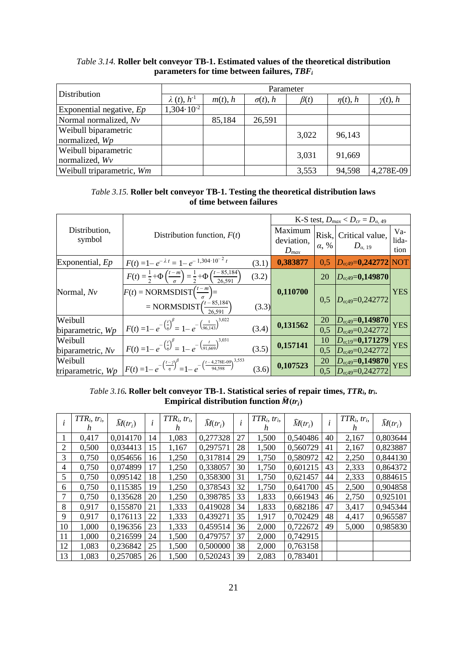| Distribution               |                       | Parameter  |                 |            |               |                 |  |  |  |  |  |  |
|----------------------------|-----------------------|------------|-----------------|------------|---------------|-----------------|--|--|--|--|--|--|
|                            | $\lambda(t), h^{-1}$  | $m(t)$ , h | $\sigma(t)$ , h | $\beta(t)$ | $\eta(t)$ , h | $\gamma(t)$ , h |  |  |  |  |  |  |
| Exponential negative, $Ep$ | $1,304 \cdot 10^{-2}$ |            |                 |            |               |                 |  |  |  |  |  |  |
| Normal normalized, Nv      |                       | 85,184     | 26,591          |            |               |                 |  |  |  |  |  |  |
| Weibull biparametric       |                       |            |                 | 3,022      | 96,143        |                 |  |  |  |  |  |  |
| normalized, Wp             |                       |            |                 |            |               |                 |  |  |  |  |  |  |
| Weibull biparametric       |                       |            |                 | 3,031      | 91,669        |                 |  |  |  |  |  |  |
| normalized, Wv             |                       |            |                 |            |               |                 |  |  |  |  |  |  |
| Weibull triparametric, Wm  |                       |            |                 | 3,553      | 94,598        | 4,278E-09       |  |  |  |  |  |  |

#### *Table 3.14.* **Roller belt conveyor TB-1. Estimated values of the theoretical distribution parameters for time between failures,** *TBF<sup>i</sup>*

#### *Table 3.15.* **Roller belt conveyor TB-1. Testing the theoretical distribution laws of time between failures**

|                         |                                                                                                                         |       |                                    | K-S test, $D_{max} < D_{cr} = D_{\alpha,49}$ |                                                         |                        |  |  |  |
|-------------------------|-------------------------------------------------------------------------------------------------------------------------|-------|------------------------------------|----------------------------------------------|---------------------------------------------------------|------------------------|--|--|--|
| Distribution,<br>symbol | Distribution function, $F(t)$                                                                                           |       | Maximum<br>deviation,<br>$D_{max}$ | $\alpha$ , %                                 | Risk, Critical value,<br>$D_{a, 19}$                    | $Va-$<br>lida-<br>tion |  |  |  |
| Exponential, $Ep$       | $F(t) = 1 - e^{-\lambda t} = 1 - e^{-1.304 \cdot 10^{-2} t}$                                                            | (3.1) | 0,383877                           | 0.5                                          | $D_{\alpha;49} = 0,242772$ NOT                          |                        |  |  |  |
|                         | $F(t) = \frac{1}{2} + \Phi\left(\frac{t-m}{\sigma}\right) = \frac{1}{2} + \Phi\left(\frac{t-85,184}{26,591}\right)$     | (3.2) |                                    | 20                                           | $D_{\alpha;49} = 0,149870$                              |                        |  |  |  |
| Normal, Nv              | $F(t) = NORMSDIST(\frac{t-m}{\sigma}) =$                                                                                |       | 0,110700                           | 0.5                                          | $D_{\alpha,49}=0,242772$                                | <b>YES</b>             |  |  |  |
|                         | = NORMSDIST $\left(\frac{t-85,184}{26,591}\right)$                                                                      | (3.3) |                                    |                                              |                                                         |                        |  |  |  |
| Weibull                 | $F(t) = 1 - e^{-\left(\frac{t}{\eta}\right)^{\beta}} = 1 - e^{-\left(\frac{t}{96,143}\right)^{3,022}}$                  |       | 0,131562                           | 20                                           | $\frac{D_{\alpha;49}=0,149870}{D_{\alpha;49}=0,242772}$ | <b>YES</b>             |  |  |  |
| biparametric, Wp        |                                                                                                                         | (3.4) |                                    | $\overline{0.5}$                             |                                                         |                        |  |  |  |
| Weibull                 | $F(t) = 1 - e^{-\left(\frac{t}{\eta}\right)^{\beta}} = 1 - e^{-\left(\frac{t}{91.669}\right)^{3,031}}$                  | (3.5) | 0,157141                           | 10                                           | $D_{\alpha;19} = 0,171279$                              | <b>YES</b>             |  |  |  |
| biparametric, $Nv$      |                                                                                                                         |       |                                    | 0,5                                          | $D_{\alpha,49}=0,242772$                                |                        |  |  |  |
| Weibull                 | $F(t) = 1 - e^{-\left(\frac{t-\gamma}{\eta}\right)^{\beta}} = 1 - e^{-\left(\frac{t-4,278E-09}{94,598}\right)^{3,553}}$ |       | 0,107523                           | 20                                           |                                                         | <b>YES</b>             |  |  |  |
| triparametric, Wp       |                                                                                                                         | (3.6) |                                    | 0.5                                          | $\frac{D_{\alpha;49}=0,149870}{D_{\alpha;49}=0,242772}$ |                        |  |  |  |

## *Table 3.16.* **Roller belt conveyor TB-1. Statistical series of repair times,** *TTRi***,** *tri***.**  $\mathbf{E}$ mpirical distribution function  $\widehat{M}(tr_i)$

|    | $TTR_i, \, tr_i,$<br>h | $\widehat{M}(tr_i)$ | $\dot{i}$ | $TTR_i, \, tr_i,$<br>h | $\widehat{M}(tr_i)$ | l  | $TTR_i, \, tr_i,$<br>h | $\widehat{M}(tr_i)$ |    | $TTR_i, \, tr_i,$<br>h. | $\widehat{M}(tr_i)$ |
|----|------------------------|---------------------|-----------|------------------------|---------------------|----|------------------------|---------------------|----|-------------------------|---------------------|
|    | 0,417                  | 0,014170            | 14        | 1,083                  | 0,277328            | 27 | 1,500                  | 0,540486            | 40 | 2,167                   | 0,803644            |
| 2  | 0,500                  | 0,034413            | 15        | 1,167                  | 0,297571            | 28 | 1,500                  | 0,560729            | 41 | 2,167                   | 0,823887            |
| 3  | 0,750                  | 0,054656            | 16        | 1,250                  | 0,317814            | 29 | 1,750                  | 0,580972            | 42 | 2,250                   | 0,844130            |
| 4  | 0,750                  | 0,074899            | 17        | 1,250                  | 0,338057            | 30 | 1,750                  | 0,601215            | 43 | 2,333                   | 0,864372            |
| 5  | 0,750                  | 0,095142            | 18        | 1,250                  | 0,358300            | 31 | 1,750                  | 0,621457            | 44 | 2,333                   | 0,884615            |
| 6  | 0,750                  | 0,115385            | 19        | 1,250                  | 0,378543            | 32 | 1,750                  | 0,641700            | 45 | 2,500                   | 0,904858            |
| 7  | 0,750                  | 0,135628            | 20        | 1,250                  | 0,398785            | 33 | 1,833                  | 0,661943            | 46 | 2,750                   | 0,925101            |
| 8  | 0,917                  | 0,155870            | 21        | 1,333                  | 0,419028            | 34 | 1,833                  | 0,682186            | 47 | 3,417                   | 0,945344            |
| 9  | 0,917                  | 0,176113            | 22        | 1,333                  | 0,439271            | 35 | 1,917                  | 0,702429            | 48 | 4,417                   | 0,965587            |
| 10 | 1,000                  | 0,196356            | 23        | 1,333                  | 0,459514            | 36 | 2,000                  | 0,722672            | 49 | 5,000                   | 0,985830            |
| 11 | 1,000                  | 0,216599            | 24        | 1,500                  | 0,479757            | 37 | 2,000                  | 0,742915            |    |                         |                     |
| 12 | 1,083                  | 0,236842            | 25        | 1,500                  | 0,500000            | 38 | 2,000                  | 0,763158            |    |                         |                     |
| 13 | 1,083                  | 0,257085            | 26        | 1,500                  | 0,520243            | 39 | 2,083                  | 0,783401            |    |                         |                     |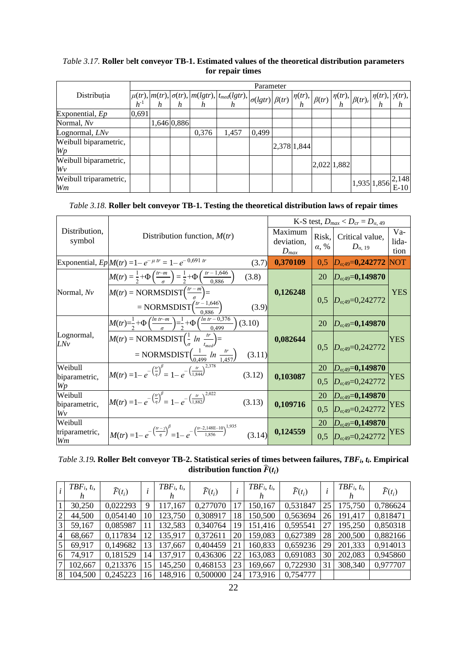## *Table 3.17.* **Roller** b**elt conveyor TB-1. Estimated values of the theoretical distribution parameters for repair times**

|                              |          |             |       |       | Parameter |             |  |             |                                                          |   |
|------------------------------|----------|-------------|-------|-------|-----------|-------------|--|-------------|----------------------------------------------------------|---|
| Distribuția                  |          |             |       |       |           |             |  |             |                                                          |   |
|                              | $h^{-1}$ |             |       |       |           |             |  |             | h                                                        | h |
| Exponential, Ep              | 0,691    |             |       |       |           |             |  |             |                                                          |   |
| Normal, Nv                   |          | 1,646 0,886 |       |       |           |             |  |             |                                                          |   |
| Lognormal, $LNv$             |          |             | 0,376 | 1,457 | 0,499     |             |  |             |                                                          |   |
| Weibull biparametric,<br>Wp  |          |             |       |       |           | 2,378 1,844 |  |             |                                                          |   |
| Weibull biparametric,<br>Wv  |          |             |       |       |           |             |  | 2,022 1,882 |                                                          |   |
| Weibull triparametric,<br>Wm |          |             |       |       |           |             |  |             | $\left 1,935\right 1,856\left \frac{2,148}{E-10}\right $ |   |

### *Table 3.18.* **Roller belt conveyor TB-1. Testing the theoretical distribution laws of repair times**

|                         |                                                                                                                                                |                                    |                       | K-S test, $D_{max} < D_{cr} = D_{\alpha, 49}$ |                        |  |
|-------------------------|------------------------------------------------------------------------------------------------------------------------------------------------|------------------------------------|-----------------------|-----------------------------------------------|------------------------|--|
| Distribution,<br>symbol | Distribution function, $M(tr)$                                                                                                                 | Maximum<br>deviation,<br>$D_{max}$ | Risk,<br>$\alpha$ , % | Critical value,<br>$D_{\alpha, 19}$           | $Va-$<br>lida-<br>tion |  |
|                         | Exponential, $Ep M(tr) = 1 - e^{-\mu tr} = 1 - e^{-0.691 tr}$<br>(3.7)                                                                         | 0,370109                           | 0.5                   | $D_{\alpha,49}=0,242772$                      | <b>NOT</b>             |  |
|                         | $M(tr) = \frac{1}{2} + \Phi\left(\frac{tr-m}{\sigma}\right) = \frac{1}{2} + \Phi\left(\frac{tr-1,646}{0,886}\right)$<br>(3.8)                  |                                    | 20                    | $D_{\alpha;49} = 0,149870$                    |                        |  |
| Normal, Nv              | $M(tr) = NORMSDIST(\frac{tr-m}{\sigma}) =$                                                                                                     | 0,126248                           |                       |                                               | <b>YES</b>             |  |
|                         | = NORMSDIST $\left(\frac{tr-1,646}{0,886}\right)$<br>(3.9)                                                                                     |                                    | 0,5                   | $D_{\alpha,49}=0,242772$                      |                        |  |
|                         | $M(tr) = \frac{1}{2} + \Phi\left(\frac{ln \ t r - m}{\sigma}\right) = \frac{1}{2} + \Phi\left(\frac{ln \ t r - 0.376}{0.499}\right)$<br>(3.10) |                                    | 20                    | $D_{\alpha;49} = 0,149870$                    |                        |  |
| Lognormal,<br>LNv       | $M(tr) = NORMSDIST(\frac{1}{\sigma} ln \frac{tr}{t_{med}}) =$                                                                                  | 0,082644                           |                       |                                               | <b>YES</b>             |  |
|                         | = NORMSDIST $\left(\frac{1}{0.499} ln \frac{tr}{1.457}\right)$<br>(3.11)                                                                       |                                    | 0.5                   | $D_{\alpha;49} = 0,242772$                    |                        |  |
| Weibull                 | $M(tr) = 1 - e^{-\left(\frac{tr}{\eta}\right)^{\beta}} = 1 - e^{-\left(\frac{tr}{1.844}\right)^{2,378}}$<br>(3.12)                             |                                    | 20                    | $D_{\alpha;49} = 0,149870$                    |                        |  |
| biparametric,<br>Wp     |                                                                                                                                                | 0,103087                           | 0.5                   | $D_{\alpha.49} = 0,242772$                    | YES                    |  |
| Weibull                 | $M(tr) = 1 - e^{-\left(\frac{tr}{\eta}\right)^{\beta}} = 1 - e^{-\left(\frac{tr}{1.882}\right)^{2.022}}$                                       |                                    | 20                    | $D_{\alpha;49} = 0,149870$                    |                        |  |
| biparametric,<br>Wv     | (3.13)                                                                                                                                         | 0,109716                           | 0,5                   | $D_{\alpha;49} = 0,242772$                    | YES                    |  |
| Weibull                 |                                                                                                                                                |                                    | 20                    | $D_{\alpha;49}$ =0,149870                     |                        |  |
| triparametric,<br>Wm    | $M(tr) = 1 - e^{-\left(\frac{tr - \gamma}{\eta}\right)^{\beta}} = 1 - e^{-\left(\frac{tr - 2,148E - 10}{1,856}\right)^{1,935}}$<br>(3.14)      | 0,124559                           | 0.5                   | $D_{\alpha:49} = 0,242772$                    | YES                    |  |

*Table 3.19.* **Roller Belt conveyor TB-2. Statistical series of times between failures,** *TBFi***,** *ti***. Empirical distribution function**  $\widehat{F}(t_i)$ 

|                 | $TBF_i, t_i,$ | $\widehat{F}(t_i)$ |    | $TBF_i, t_i,$<br>n | $\widehat{F}(t_i)$ |    | $TBF_i, t_i,$ | $\widehat{F}(t_i)$ |    | $TBF_i, t_i,$ | $\widehat{F}(t_i)$ |
|-----------------|---------------|--------------------|----|--------------------|--------------------|----|---------------|--------------------|----|---------------|--------------------|
|                 | 30,250        | 0,022293           | 9  | 117,167            | 0,277070           | 17 | 150,167       | 0,531847           | 25 | 175,750       | 0,786624           |
| $\overline{2}$  | 44,500        | 0,054140           | 10 | 123,750            | 0,308917           | 18 | 150,500       | 0,563694           | 26 | 191,417       | 0,818471           |
| $\overline{3}$  | 59,167        | 0,085987           |    | 132,583            | 0,340764           | 19 | 151,416       | 0,595541           | 27 | 195,250       | 0,850318           |
| $\overline{4}$  | 68,667        | 0,117834           | 12 | 135,917            | 0,372611           | 20 | 159,083       | 0,627389           | 28 | 200,500       | 0,882166           |
| $\vert$ 5       | 69,917        | 0,149682           | 13 | 137,667            | 0,404459           | 21 | 160,833       | 0,659236           | 29 | 201,333       | 0,914013           |
| 6               | 74,917        | 0,181529           | 14 | 137,917            | 0,436306           | 22 | 163,083       | 0,691083           | 30 | 202,083       | 0,945860           |
| $7\overline{ }$ | 102,667       | 0,213376           | 15 | 145,250            | 0,468153           | 23 | 169,667       | 0,722930           | 31 | 308,340       | 0,977707           |
| 8               | 104,500       | 0,245223           | 16 | 148,916            | 0,500000           | 24 | 173,916       | 0,754777           |    |               |                    |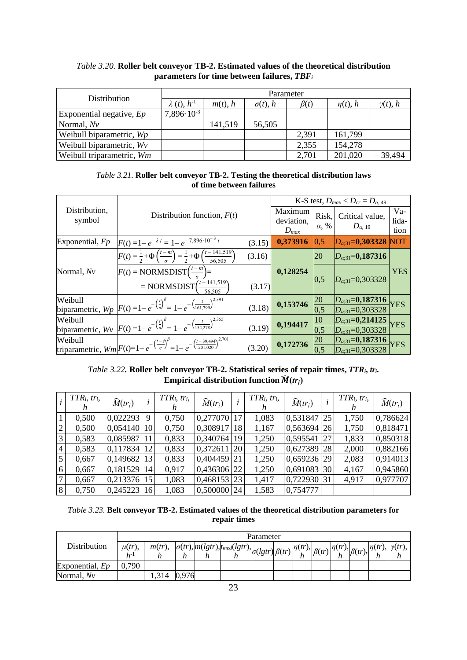| Distribution               |                      | Parameter    |                 |            |               |                 |  |  |  |  |  |  |
|----------------------------|----------------------|--------------|-----------------|------------|---------------|-----------------|--|--|--|--|--|--|
|                            | $\lambda(t), h^{-1}$ | $m(t)$ , $h$ | $\sigma(t)$ , h | $\beta(t)$ | $\eta(t)$ , h | $\gamma(t)$ , h |  |  |  |  |  |  |
| Exponential negative, $Ep$ | $7,896\cdot10^{-3}$  |              |                 |            |               |                 |  |  |  |  |  |  |
| Normal, $Nv$               |                      | 141,519      | 56,505          |            |               |                 |  |  |  |  |  |  |
| Weibull biparametric, Wp   |                      |              |                 | 2,391      | 161,799       |                 |  |  |  |  |  |  |
| Weibull biparametric, Wv   |                      |              |                 | 2,355      | 154,278       |                 |  |  |  |  |  |  |
| Weibull triparametric, Wm  |                      |              |                 | 2,701      | 201,020       | $-39,494$       |  |  |  |  |  |  |

## *Table 3.20.* **Roller belt conveyor TB-2. Estimated values of the theoretical distribution parameters for time between failures,** *TBF<sup>i</sup>*

| <i>Table 3.21.</i> Roller belt conveyor TB-2. Testing the theoretical distribution laws |
|-----------------------------------------------------------------------------------------|
| of time between failures                                                                |

|                         |                                                                                                                                   |                                    |                       |                                | K-S test, $D_{max} < D_{cr} = D_{\alpha,49}$             |            |
|-------------------------|-----------------------------------------------------------------------------------------------------------------------------------|------------------------------------|-----------------------|--------------------------------|----------------------------------------------------------|------------|
| Distribution,<br>symbol | Distribution function, $F(t)$                                                                                                     | Maximum<br>deviation,<br>$D_{max}$ | Risk,<br>$\alpha$ , % | Critical value,<br>$D_{a. 19}$ | $Va-$<br>lida-<br>tion                                   |            |
| Exponential, $Ep$       | $F(t) = 1 - e^{-\lambda t} = 1 - e^{-7,896 \cdot 10^{-3} t}$                                                                      | (3.15)                             | 0,373916              | $\vert 0.5 \vert$              | $D_{\alpha;31} = 0,303328$ NOT                           |            |
|                         | $F(t) = \frac{1}{2} + \Phi\left(\frac{t-m}{\sigma}\right) = \frac{1}{2} + \Phi\left(\frac{t-141,519}{56,505}\right)$              | (3.16)                             |                       | <b>20</b>                      | $D_{\alpha;31} = 0,187316$                               |            |
| Normal, Nv              | $F(t) = NORMSDIST(\frac{t-m}{a}) =$                                                                                               |                                    | 0,128254              |                                |                                                          | <b>YES</b> |
|                         | = NORMSDIST $\left(\frac{t-141,519}{56,505}\right)$                                                                               | (3.17)                             |                       | 0,5                            | $D_{\alpha;31}=0,303328$                                 |            |
|                         | biparametric, $Wp$ $F(t) = 1 - e^{-\left(\frac{t}{\eta}\right)^{\beta}} = 1 - e^{-\left(\frac{t}{161.799}\right)^{2,391}}$        |                                    | 0,153746              | 20                             | $D_{\alpha;31} = 0,187316$<br>$D_{\alpha;31} = 0,303328$ | <b>YES</b> |
|                         |                                                                                                                                   | (3.18)                             |                       | 0,5                            |                                                          |            |
|                         | biparametric, $W_v$ $F(t) = 1 - e^{-\left(\frac{t}{\eta}\right)^{\beta}} = 1 - e^{-\left(\frac{t}{154.278}\right)^{2,355}}$       |                                    | 0,194417              | $ 10\rangle$                   | $D_{\alpha;31} = 0,214125$<br>$D_{\alpha;31} = 0,303328$ | <b>YES</b> |
|                         |                                                                                                                                   | (3.19)                             |                       | 0,5                            |                                                          |            |
|                         |                                                                                                                                   |                                    | 0,172736              | 20                             | $D_{\alpha;31} = 0,187316$<br>$D_{\alpha;31} = 0,303328$ |            |
|                         | triparametric, $Wm$ $F(t)=1-e^{-\left(\frac{t-\gamma}{\eta}\right)^{\beta}}=1-e^{-\left(\frac{t+39.494}{201,020}\right)^{2.701}}$ | (3.20)                             |                       | $\overline{0.5}$               |                                                          | YES        |

## *Table 3.22.* **Roller belt conveyor TB-2. Statistical series of repair times,** *TTRi***,** *tri***. Empirical distribution function**  $\widehat{M}(tr_i)$

|                | $TTR_i, \, tr_i,$ | $\widehat{M}(tr_i)$ |                 | $TTR_i, \, tr_i,$<br>n | $\widehat{M}(tr_i)$ | l             | $TTR_i, \, tr_i,$<br>h | $\widehat{M}(tr_i)$ | $TTR_i, \, tr_i,$ | $\widehat{M}(tr_i)$ |
|----------------|-------------------|---------------------|-----------------|------------------------|---------------------|---------------|------------------------|---------------------|-------------------|---------------------|
|                | 0,500             | 0,022293            | 9               | 0,750                  | 0,277070            | 17            | 1,083                  | $0,531847$ 25       | 1,750             | 0,786624            |
| $\overline{2}$ | 0,500             | $0,054140$  10      |                 | 0,750                  | 0,308917            | 18            | 1,167                  | $0,563694$ 26       | 1,750             | 0,818471            |
| $\overline{3}$ | 0,583             | 0,085987 11         |                 | 0,833                  | 0,340764            | 19            | 1,250                  | $0,595541$  27      | 1,833             | 0,850318            |
| 4              | 0,583             | $0,117834$ 12       |                 | 0,833                  | 0,372611            | <sup>20</sup> | 1,250                  | 0,627389 28         | 2,000             | 0,882166            |
| 5 <sup>1</sup> | 0,667             | 0,149682 13         |                 | 0,833                  | $0,404459$ 21       |               | 1,250                  | $0,659236$ 29       | 2,083             | 0,914013            |
| 6              | 0,667             | 0,181529            | 14              | 0,917                  | 0,436306 22         |               | 1,250                  | $0,691083$ 30       | 4,167             | 0,945860            |
| 7 <sup>1</sup> | 0,667             | 0,213376 15         |                 | 1,083                  | $0,468153$ 23       |               | 1,417                  | $0,722930$ 31       | 4,917             | 0,977707            |
| 8 <sup>1</sup> | 0,750             | 0,245223            | 16 <sup>l</sup> | 1,083                  | 0,500000 24         |               | 1,583                  | 0,754777            |                   |                     |

*Table 3.23.* **Belt conveyor TB-2. Estimated values of the theoretical distribution parameters for repair times**

|                        |             | Parameter                                                                                                      |     |   |  |  |  |   |  |                          |  |  |                         |
|------------------------|-------------|----------------------------------------------------------------------------------------------------------------|-----|---|--|--|--|---|--|--------------------------|--|--|-------------------------|
| Distribution           | $\mu(tr)$ , | $m(tr)$ , $\Big \sigma(tr)$ , $m(lgtr)$ , $t_{med}(lgtr)$ , $\Big \sigma(lgtr) \Big \beta(tr) \Big \eta(tr)$ , |     |   |  |  |  |   |  | $\eta(tr)$ , $\beta(tr)$ |  |  | $\eta(tr), \gamma(tr),$ |
|                        | h-          |                                                                                                                | n   | n |  |  |  | h |  |                          |  |  |                         |
| Exponential, <i>Ep</i> | .790        |                                                                                                                |     |   |  |  |  |   |  |                          |  |  |                         |
| Normal, Nv             |             | .314                                                                                                           | 976 |   |  |  |  |   |  |                          |  |  |                         |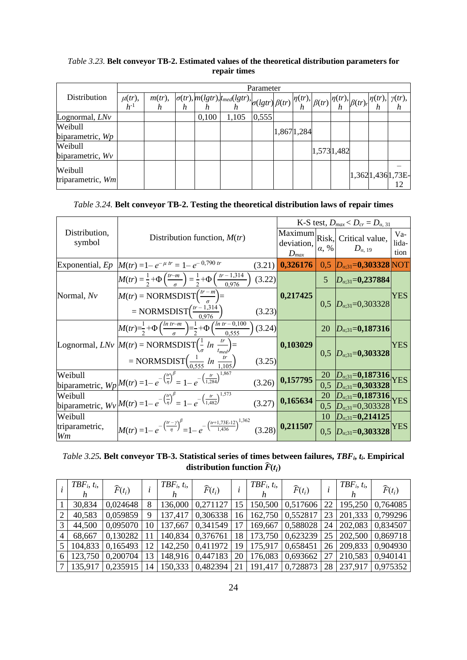#### *Table 3.23.* **Belt conveyor TB-2. Estimated values of the theoretical distribution parameters for repair times**

|                              |                         |  |       |                                                                                                                                                                                                                                        | Parameter |            |             |  |                        |
|------------------------------|-------------------------|--|-------|----------------------------------------------------------------------------------------------------------------------------------------------------------------------------------------------------------------------------------------|-----------|------------|-------------|--|------------------------|
| <b>Distribution</b>          | $\mu(tr)$ ,<br>$h^{-1}$ |  |       | $\begin{array}{cc}\nm(tr), & \left \sigma(tr),m(lgtr),t_{med}(lgtr),t_{med}(lgtr)\right \sigma(lgtr)\left \beta(tr)\right ^{n(tr)}, & \left \beta(tr)\right ^{n(tr)}, & \left \beta(tr),r\right ^{n(tr)}, & \gamma(tr),\\n\end{array}$ |           |            |             |  |                        |
| Lognormal, LNv               |                         |  | 0,100 | 1,105                                                                                                                                                                                                                                  | 0,555     |            |             |  |                        |
| Weibull<br>biparametric, Wp  |                         |  |       |                                                                                                                                                                                                                                        |           | 1,8671,284 |             |  |                        |
| Weibull<br>biparametric, Wv  |                         |  |       |                                                                                                                                                                                                                                        |           |            | 1,573 1,482 |  |                        |
| Weibull<br>triparametric, Wm |                         |  |       |                                                                                                                                                                                                                                        |           |            |             |  | 1,3621,4361,73E-<br>12 |

| Table 3.24. Belt conveyor TB-2. Testing the theoretical distribution laws of repair times |  |  |  |
|-------------------------------------------------------------------------------------------|--|--|--|
|                                                                                           |  |  |  |

|                         |                                                                                                                                                |                         |                | K-S test, $D_{max} < D_{cr} = D_{\alpha, 31}$                      |                      |
|-------------------------|------------------------------------------------------------------------------------------------------------------------------------------------|-------------------------|----------------|--------------------------------------------------------------------|----------------------|
| Distribution,<br>symbol | Distribution function, $M(tr)$                                                                                                                 | deviation,<br>$D_{max}$ | $\alpha$ , %   | Maximum Risk, Critical value,<br>$D_{\alpha, 19}$                  | Va-<br>lida-<br>tion |
|                         | Exponential, Ep $ M(tr) = 1 - e^{-\mu tr} = 1 - e^{-0.790 tr}$<br>(3.21)                                                                       | 0,326176                |                | $0,5$ $D_{\alpha,31} = 0,303328$ NOT                               |                      |
|                         | $M(tr) = \frac{1}{2} + \Phi\left(\frac{tr-m}{\sigma}\right) = \frac{1}{2} + \Phi\left(\frac{tr-1,314}{0.976}\right)$<br>(3.22)                 |                         | $\overline{5}$ | $D_{\alpha,31}=$ <b>0,237884</b>                                   |                      |
| Normal, Nv              | $M(tr) = NORMSDIST(\frac{tr-m}{g}) =$                                                                                                          | 0,217425                |                |                                                                    | YES                  |
|                         | = NORMSDIST $\left(\frac{tr-1,314}{0.976}\right)$<br>(3.23)                                                                                    |                         |                | $0,5$ $D_{\alpha,31}=0,303328$                                     |                      |
|                         | $M(tr) = \frac{1}{2} + \Phi\left(\frac{ln \ t r - m}{\sigma}\right) = \frac{1}{2} + \Phi\left(\frac{ln \ t r - 0.100}{0.555}\right)$<br>(3.24) |                         | 20             | $D_{\alpha,31}=0,187316$                                           |                      |
|                         | Lognormal, $L N v \left[ M(tr) = NORMSDIST\left(\frac{1}{a} ln \frac{tr}{t}\right) = \right]$                                                  | 0,103029                |                |                                                                    | YES                  |
|                         | = NORMSDIST $\left(\frac{1}{0.555} ln \frac{tr}{1.105}\right)$<br>(3.25)                                                                       |                         |                | $0,5$ $D_{\alpha,31} = 0,303328$                                   |                      |
|                         | biparametric, $Wp M(tr) = 1 - e^{-\left(\frac{tr}{\eta}\right)^{\beta}} = 1 - e^{-\left(\frac{tr}{1,284}\right)^{1,867}}$                      | 0,157795                | <b>20</b>      | $\frac{D_{\alpha;31}=0,187316}{D_{\alpha;31}=0,303328} \text{YES}$ |                      |
|                         | (3.26)                                                                                                                                         |                         | 0,5            |                                                                    |                      |
|                         | biparametric, $Wv \vert M(tr) = 1 - e^{-\left(\frac{tr}{\eta}\right)^{\beta}} = 1 - e^{-\left(\frac{tr}{1.482}\right)^{1,573}}$                | 0,165634                | <b>20</b>      | $D_{\alpha,31} = 0,187316$ YES                                     |                      |
|                         | (3.27)                                                                                                                                         |                         |                | $0,5$ $D_{\alpha,31}=0,303328$                                     |                      |
| Weibull                 |                                                                                                                                                |                         | 10             | $D_{\alpha,31}=0,214125$                                           |                      |
| triparametric,<br>Wm    | $M(tr) = 1 - e^{-\left(\frac{tr - \gamma}{\eta}\right)^{\beta}} = 1 - e^{-\left(\frac{tr + 1,73E - 12}{1,436}\right)^{1,362}}$                 | $(3.28)$ 0,211507       | 0,5            | $D_{\alpha,31} = 0,303328$                                         | YES                  |

*Table 3.25.* **Belt conveyor TB-3. Statistical series of times between failures,** *TBFi***,** *ti***. Empirical distribution function**  $\widehat{F}(t_i)$ 

|   | $TBF_i, t_i,$ | $\widehat{F}(t_i)$ |    | $TBF_i, t_i,$ | $\widehat{F}(t_i)$ | $\iota$ | $TBF_i, t_i$ | $\widehat{F}(t_i)$ |                 | $TBF_i, t_i,$ | $\widehat{F}(t_i)$ |
|---|---------------|--------------------|----|---------------|--------------------|---------|--------------|--------------------|-----------------|---------------|--------------------|
|   | 30,834        | 0,024648           | 8  | 136,000       | 0,271127           | 15      |              | 150,500   0,517606 | 22 <sub>1</sub> | 195,250       | 0,764085           |
| 2 | 40,583        | 0.059859           | 9  | 137,417       | 0.306338           | 16      |              | 162,750 0,552817   |                 | 23 201,333    | 0,799296           |
| 3 | 44,500        | 0,095070           |    | 10 137,667    | 0.341549           |         | 169,667      | 0.588028           |                 | 24 202,083    | 0.834507           |
| 4 | 68,667        | 0,130282           |    |               | 140,834 0,376761   | 18      | 173,750      | 0,623239           |                 | 25 202,500    | 0,869718           |
|   | 104,833       | 0,165493           | 12 | 142,250       | 0.411972           | 19      | 175,917      | 0,658451           |                 | 26 209,833    | 0,904930           |
| 6 | 123,750       | 0,200704           | 13 | 148,916       | 0,447183           | 20      | 176,083      | 0,693662           | 27              | 210,583       | 0,940141           |
| 7 | 135,917       | 0,235915           |    | 14   150,333  | 0.482394           | 21      | 191,417      | 0,728873           | 28              | 237,917       | 0.975352           |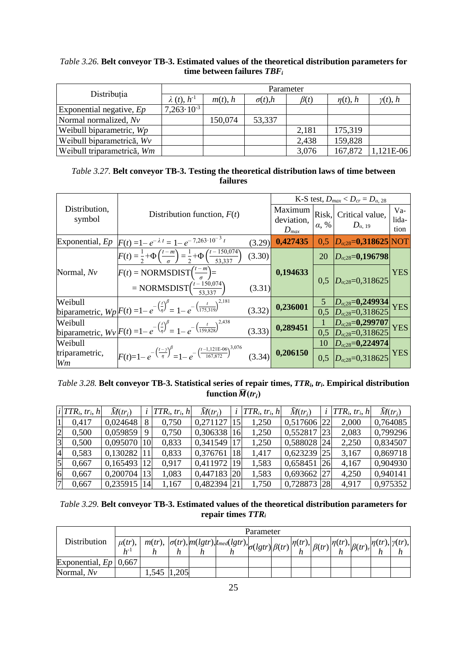#### *Table 3.26.* **Belt conveyor TB-3. Estimated values of the theoretical distribution parameters for time between failures** *TBF<sup>i</sup>*

| Distribuția                |                      | Parameter    |                   |            |               |                 |  |  |  |  |  |
|----------------------------|----------------------|--------------|-------------------|------------|---------------|-----------------|--|--|--|--|--|
|                            | $\lambda(t), h^{-1}$ | $m(t)$ , $h$ | $\sigma(t)$ , $h$ | $\beta(t)$ | $\eta(t)$ , h | $\gamma(t)$ , h |  |  |  |  |  |
| Exponential negative, $Ep$ | $7,263\cdot10^{-3}$  |              |                   |            |               |                 |  |  |  |  |  |
| Normal normalized, Nv      |                      | 150,074      | 53,337            |            |               |                 |  |  |  |  |  |
| Weibull biparametric, Wp   |                      |              |                   | 2,181      | 175,319       |                 |  |  |  |  |  |
| Weibull biparametrică, Wv  |                      |              |                   | 2,438      | 159,828       |                 |  |  |  |  |  |
| Weibull triparametrică, Wm |                      |              |                   | 3,076      | 167,872       | 1,121E-06       |  |  |  |  |  |

| <i>Table 3.27.</i> Belt conveyor TB-3. Testing the theoretical distribution laws of time between |
|--------------------------------------------------------------------------------------------------|
| failures                                                                                         |

|                         |                                                                                                                               |        |                                    |                  | K-S test, $D_{max} < D_{cr} = D_{\alpha,28}$                           |                        |
|-------------------------|-------------------------------------------------------------------------------------------------------------------------------|--------|------------------------------------|------------------|------------------------------------------------------------------------|------------------------|
| Distribution,<br>symbol | Distribution function, $F(t)$                                                                                                 |        | Maximum<br>deviation,<br>$D_{max}$ | $\alpha, \%$     | Risk, Critical value,<br>$D_{a, 19}$                                   | $Va-$<br>lida-<br>tion |
| Exponential, $Ep$       | $F(t) = 1 - e^{-\lambda t} = 1 - e^{-7,263 \cdot 10^{-3} t}$                                                                  | (3.29) | 0,427435                           | 0.5              | $ D_{\alpha;28}$ =0,318625 NOT                                         |                        |
|                         | $F(t) = \frac{1}{2} + \Phi\left(\frac{t-m}{\sigma}\right) = \frac{1}{2} + \Phi\left(\frac{t-150,074}{53,337}\right)$          | (3.30) |                                    | 20               | $ D_{\alpha;28}$ =0,196798                                             |                        |
| Normal, Nv              | $F(t) = NORMSDIST(\frac{t-m}{s}) =$                                                                                           |        | 0,194633                           | 0.5              | $D_{\alpha,28}=0,318625$                                               | <b>YES</b>             |
|                         | $= NORMSDIST\left(\frac{t-150,074}{53,337}\right)$                                                                            | (3.31) |                                    |                  |                                                                        |                        |
|                         | biparametric, $Wp\bigg F(t) = 1 - e^{-\left(\frac{t}{\eta}\right)^{\beta}} = 1 - e^{-\left(\frac{t}{175,319}\right)^{2,181}}$ |        | 0,236001                           |                  | $\frac{ D_{\alpha,28}=0,249934 }{ D_{\alpha,28}=0,318625 } \text{YES}$ |                        |
|                         |                                                                                                                               | (3.32) |                                    | $\overline{0,5}$ |                                                                        |                        |
|                         | biparametric, $Wv F(t) = 1 - e^{-\left(\frac{t}{\eta}\right)^{\beta}} = 1 - e^{-\left(\frac{t}{159,828}\right)^{2,438}}$      |        | 0,289451                           |                  | $\frac{D_{\alpha;28} = 0.299707}{D_{\alpha;28} = 0.318625} \text{YES}$ |                        |
|                         |                                                                                                                               | (3.33) |                                    | $\overline{0,5}$ |                                                                        |                        |
| Weibull                 |                                                                                                                               |        |                                    | 10               | $D_{\alpha,28}=0,224974$                                               |                        |
| triparametric,<br>Wm    | $F(t)=1-e^{-\left(\frac{t-\gamma}{\eta}\right)^{\beta}}=1-e^{-\left(\frac{t-1,121E-06}{167,872}\right)^{3,076}}$              | (3.34) | 0,206150                           | 0.5              | $D_{\alpha;28}=0,318625$                                               | <b>YES</b>             |

## *Table 3.28.* **Belt conveyor TB-3. Statistical series of repair times,** *TTRi***,** *tri***. Empirical distribution**  function  $\widehat{M}(tr_i)$

|                | $ i TTR_i, tr_i, h $ | $\widehat{M}(tr_i)$ |    | $i$  TTR <sub>i</sub> , tr <sub>i</sub> , h | $\widehat{M}(tr_i)$ |               | $i$ TTR <sub>i</sub> , tr <sub>i</sub> , h | $\widehat{M}(tr_i)$ |               | $TTR_i, \, tr_i, \, h$ | $\widehat{M}(tr_i)$ |
|----------------|----------------------|---------------------|----|---------------------------------------------|---------------------|---------------|--------------------------------------------|---------------------|---------------|------------------------|---------------------|
|                | 0,417                | 0,024648            |    | 0,750                                       | 0,271127            | 15            | 1,250                                      | 0,517606 22         |               | 2,000                  | 0,764085            |
| $\overline{2}$ | 0,500                | 0,059859            |    | 0,750                                       | 0,306338            | 16            | 1,250                                      | 0,552817            | <sup>23</sup> | 2,083                  | 0,799296            |
| $\overline{3}$ | 0,500                | 0,095070            | 10 | 0,833                                       | 0,341549            |               | 1,250                                      | 0,588028 24         |               | 2,250                  | 0,834507            |
| $\overline{4}$ | 0,583                | 0,130282            |    | 0,833                                       | 0,376761            | 18            | 1,417                                      | $0,623239$ 25       |               | 3,167                  | 0,869718            |
| $\overline{5}$ | 0,667                | 0,165493            |    | 0.917                                       | 0,411972            | 19            | 1,583                                      | $0,658451$ 26       |               | 4,167                  | 0,904930            |
| 6              | 0,667                | 0,200704            |    | 1,083                                       | 0,447183            | <b>20</b>     | 1,583                                      | $0,693662$ 27       |               | 4,250                  | 0,940141            |
|                | 0,667                | 0,235915            | 14 | 1,167                                       | 0,482394            | <sup>21</sup> | 1,750                                      | 0,728873 28         |               | 4,917                  | 0,975352            |

| <i>Table 3.29.</i> Belt conveyor TB-3. Estimated values of the theoretical distribution parameters for |
|--------------------------------------------------------------------------------------------------------|
| repair times $TTR_i$                                                                                   |

|                         |             | Parameter<br>$\text{ \quad , } \mid m(tr),\ \left \sigma(tr),\left m(lgtr)\right \right _{t\text{med}}(lgtr), \ \left \sigma(lgtr)\right \beta(tr)\left \eta(r)\right _{t\text{th}}$ |       |  |  |  |  |              |             |                                                 |  |                         |  |  |
|-------------------------|-------------|--------------------------------------------------------------------------------------------------------------------------------------------------------------------------------------|-------|--|--|--|--|--------------|-------------|-------------------------------------------------|--|-------------------------|--|--|
| Distribution            | $\mu(tr)$ , |                                                                                                                                                                                      |       |  |  |  |  | $\eta(tr)$ , | $\beta(tr)$ | $\langle \eta(tr), \vert \beta(tr)_{r} \vert$ . |  | $\eta(tr), \gamma(tr),$ |  |  |
|                         | $h^-$       |                                                                                                                                                                                      |       |  |  |  |  |              |             |                                                 |  |                         |  |  |
| Exponential, $Ep$ 0.667 |             |                                                                                                                                                                                      |       |  |  |  |  |              |             |                                                 |  |                         |  |  |
| Normal, Nv              |             | .545                                                                                                                                                                                 | 1,205 |  |  |  |  |              |             |                                                 |  |                         |  |  |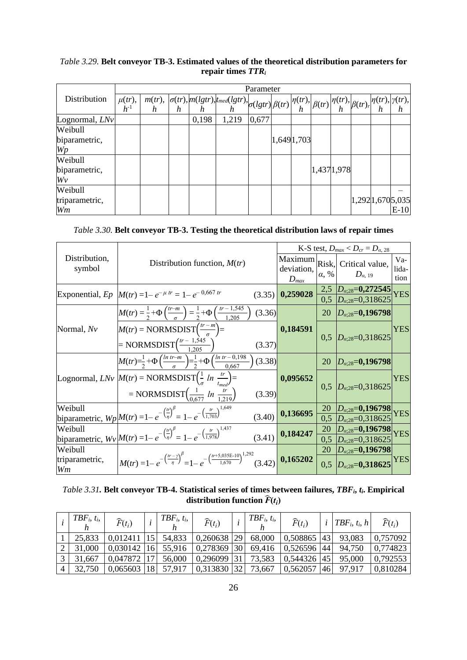|  |  |                      |  | <i>Table 3.29.</i> Belt conveyor TB-3. Estimated values of the theoretical distribution parameters for |
|--|--|----------------------|--|--------------------------------------------------------------------------------------------------------|
|  |  | repair times $TTR_i$ |  |                                                                                                        |

|                |            |  |       |                                                                                                                                                                                                                                                                                                                                                                                                                                                                                                                          | Parameter |            |  |             |                           |  |
|----------------|------------|--|-------|--------------------------------------------------------------------------------------------------------------------------------------------------------------------------------------------------------------------------------------------------------------------------------------------------------------------------------------------------------------------------------------------------------------------------------------------------------------------------------------------------------------------------|-----------|------------|--|-------------|---------------------------|--|
| Distribution   | $\mu(tr),$ |  |       | $\begin{array}{c}\nm(tr), \\ h\n\end{array}\n\left \frac{\sigma(tr),m(lgtr)}{h}\right ^{t_{med}(lgtr)}\n\left \frac{\sigma(lgtr)}{h}\right \beta(tr)\left \frac{\eta(tr),}{h}\beta(tr)\right ^{t_{r}},\n\left \frac{\eta(tr),}{h}\beta(tr)\right ^{t_{r}},\n\left \frac{\eta(tr),}{h}\beta(tr)\right ^{t_{r}},\n\left \frac{\eta(tr),}{h}\beta(tr)\right ^{t_{r}},\n\left \frac{\eta(tr),}{h}\beta(tr)\right ^{t_{r}},\n\left \frac{\eta(tr),}{h}\beta(tr)\right ^{t_{r}},\n\left \frac{\eta(tr),}{h}\beta(tr)\right ^{$ |           |            |  |             |                           |  |
|                | $h^{-1}$   |  |       |                                                                                                                                                                                                                                                                                                                                                                                                                                                                                                                          |           |            |  |             |                           |  |
| Lognormal, LNv |            |  | 0,198 | 1,219                                                                                                                                                                                                                                                                                                                                                                                                                                                                                                                    | 0,677     |            |  |             |                           |  |
| Weibull        |            |  |       |                                                                                                                                                                                                                                                                                                                                                                                                                                                                                                                          |           |            |  |             |                           |  |
| biparametric,  |            |  |       |                                                                                                                                                                                                                                                                                                                                                                                                                                                                                                                          |           | 1,6491,703 |  |             |                           |  |
| Wp             |            |  |       |                                                                                                                                                                                                                                                                                                                                                                                                                                                                                                                          |           |            |  |             |                           |  |
| Weibull        |            |  |       |                                                                                                                                                                                                                                                                                                                                                                                                                                                                                                                          |           |            |  |             |                           |  |
| biparametric,  |            |  |       |                                                                                                                                                                                                                                                                                                                                                                                                                                                                                                                          |           |            |  | 1,437 1,978 |                           |  |
| Wv             |            |  |       |                                                                                                                                                                                                                                                                                                                                                                                                                                                                                                                          |           |            |  |             |                           |  |
| Weibull        |            |  |       |                                                                                                                                                                                                                                                                                                                                                                                                                                                                                                                          |           |            |  |             |                           |  |
| triparametric, |            |  |       |                                                                                                                                                                                                                                                                                                                                                                                                                                                                                                                          |           |            |  |             | 1,292 1,670 5,035<br>E-10 |  |
| Wm             |            |  |       |                                                                                                                                                                                                                                                                                                                                                                                                                                                                                                                          |           |            |  |             |                           |  |

*Table 3.30.* **Belt conveyor TB-3. Testing the theoretical distribution laws of repair times**

|                         |                                                                                                                                              |        |                         |              | K-S test, $D_{max} < D_{cr} = D_{\alpha,28}$                                     |                      |
|-------------------------|----------------------------------------------------------------------------------------------------------------------------------------------|--------|-------------------------|--------------|----------------------------------------------------------------------------------|----------------------|
| Distribution,<br>symbol | Distribution function, $M(tr)$                                                                                                               |        | deviation,<br>$D_{max}$ | $\alpha, \%$ | $\overline{\text{Maximum}}$ Risk, Critical value,<br>$D_{\alpha, 19}$            | Va-<br>lida-<br>tion |
|                         | Exponential, Ep $ M(tr) = 1 - e^{-\mu tr} = 1 - e^{-0.667 tr}$                                                                               | (3.35) | 0,259028                |              | $\frac{2,5}{0,5}$ $\frac{D_{\alpha;28}=0,272545}{D_{\alpha;28}=0,318625}$        | <b>YES</b>           |
|                         | $M(tr) = \frac{1}{2} + \Phi\left(\frac{tr-m}{\sigma}\right) = \frac{1}{2} + \Phi\left(\frac{tr-1,545}{1,205}\right)$                         | (3.36) |                         | 20           | $ D_{\alpha;28}=0,196798 $                                                       |                      |
| Normal, Nv              | $M(tr) = NORMSDIST(\frac{tr-m}{g}) =$                                                                                                        |        | 0,184591                |              | $0.5$ $D_{\alpha,28}=0,318625$                                                   | <b>YES</b>           |
|                         | $= NORMSDIST\left(\frac{tr - 1,545}{1.205}\right)$                                                                                           | (3.37) |                         |              |                                                                                  |                      |
|                         | $M(tr) = \frac{1}{2} + \Phi\left(\frac{ln \ t r - m}{\sigma}\right) = \frac{1}{2} + \Phi\left(\frac{ln \ t r - 0.198}{0.667}\right)$         | (3.38) |                         | 20           | $ D_{\alpha,28}=$ <b>0,196798</b>                                                |                      |
|                         | Lognormal, $L N v \left  M(tr) = NORMSDIST\left(\frac{1}{\sigma} ln \frac{tr}{t_{med}}\right) =$                                             |        | 0,095652                |              |                                                                                  | <b>YES</b>           |
|                         | = NORMSDIST $\left(\frac{1}{0.677} ln \frac{tr}{1.219}\right)$                                                                               | (3.39) |                         |              | $0,5$ $D_{\alpha,28}=0,318625$                                                   |                      |
|                         | biparametric, $Wp$ $M(tr) = 1 - e^{-\left(\frac{tr}{\eta}\right)^{\beta}} = 1 - e^{-\left(\frac{tr}{1.703}\right)^{1.649}}$                  |        | 0,136695                | 20           |                                                                                  | <b>YES</b>           |
|                         |                                                                                                                                              | (3.40) |                         |              | $\frac{20}{0.5} \frac{D_{\alpha,28} = 0,196798}{D_{\alpha,28} = 0,318625}$       |                      |
|                         | biparametric, $Wv M(tr) = 1 - e^{-\left(\frac{tr}{\eta}\right)^{\beta}} = 1 - e^{-\left(\frac{tr}{1.978}\right)^{1,437}}$                    |        | 0,184247                |              | $\frac{20}{0.5}$ $\frac{D_{\alpha,28} = 0,196798}{D_{\alpha,28} = 0,318625}$ YES |                      |
|                         |                                                                                                                                              | (3.41) |                         |              |                                                                                  |                      |
| Weibull                 |                                                                                                                                              |        |                         | 20           | $ D_{\alpha;28}$ =0,196798                                                       |                      |
| triparametric,<br>Wm    | $\left  M(tr) = 1 - e^{-\left(\frac{(r-1)}{\eta}\right)^{\beta}} = 1 - e^{-\left(\frac{(r+5,035E-10)}{1,670}\right)^{1,292}} (3.42) \right $ |        | 0,165202                |              | $0.5$ $D_{\alpha:28} = 0.318625$                                                 | <b>YES</b>           |

*Table 3.31.* **Belt conveyor TB-4. Statistical series of times between failures,** *TBFi***,** *ti***. Empirical distribution function**  $\widehat{F}(t_i)$ 

|                | $TBF_i, t_i,$ | $\widehat{F}(t_i)$ |    | $TBF_i, t_i$ | $\widehat{F}(t_i)$ |              | $TBF_i, t_i$ | $\widehat{F}(t_i)$ |            | $i   TBF_i, t_i, h $ | $\widehat{F}(t_i)$ |
|----------------|---------------|--------------------|----|--------------|--------------------|--------------|--------------|--------------------|------------|----------------------|--------------------|
|                | 25,833        | 0.012411           | 15 | 54,833       | 0,260638 29        |              | 68,000       | 0.508865           | 43         | 93,083               | 0,757092           |
|                | 31,000        | 0.030142           | 16 | 55,916       | 0,278369           | $ 30\rangle$ | 69,416       | 0.526596 44        |            | 94,750               | 0,774823           |
|                | 31,667        | 0.047872           | 7  | 56,000       | 0,296099 31        |              | 73,583       | 0,544326           | <u>145</u> | 95,000               | 0,792553           |
| $\overline{4}$ |               | 0,065603           | 18 | 57,917       | 0.313830 32        |              | 73,667       | 0,562057           |            | 97.917               | 0.810284           |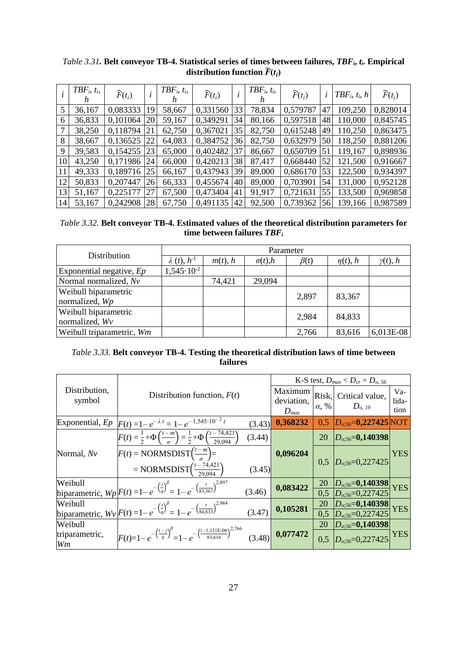|    | $TBF_i, t_i,$<br>n | $\widehat{F}(t_i)$ |    | $TBF_i, t_i,$ | $\widehat{F}(t_i)$ |    | $TBF_i, t_i,$ | $\widehat{F}(t_i)$ | l  | $TBF_i$ , $t_i$ , $h$ | $\widehat{F}(t_i)$ |
|----|--------------------|--------------------|----|---------------|--------------------|----|---------------|--------------------|----|-----------------------|--------------------|
| 5  | 36,167             | 0,083333           | 19 | 58,667        | 0,331560           | 33 | 78,834        | 0,579787           | 47 | 109,250               | 0,828014           |
| 6  | 36,833             | 0,101064           | 20 | 59,167        | 0,349291           | 34 | 80,166        | 0,597518           | 48 | 110,000               | 0,845745           |
| 7  | 38,250             | 0,118794           | 21 | 62,750        | 0,367021           | 35 | 82,750        | 0,615248           | 49 | 110,250               | 0,863475           |
| 8  | 38,667             | 0,136525           | 22 | 64,083        | 0,384752           | 36 | 82,750        | 0,632979           | 50 | 118,250               | 0,881206           |
| 9  | 39,583             | 0,154255           | 23 | 65,000        | 0,402482           | 37 | 86,667        | 0,650709           |    | 119,167               | 0,898936           |
| 10 | 43,250             | 0,171986           | 24 | 66,000        | 0,420213           | 38 | 87,417        | 0,668440           | 52 | 121,500               | 0,916667           |
| 11 | 49,333             | 0,189716           | 25 | 66,167        | 0,437943           | 39 | 89,000        | 0,686170           | 53 | 122,500               | 0,934397           |
| 12 | 50,833             | 0,207447           | 26 | 66,333        | 0,455674           | 40 | 89,000        | 0,703901           | 54 | 131,000               | 0,952128           |
| 13 | 51,167             | 0,225177           | 27 | 67,500        | 0,473404           | 41 | 91,917        | 0,721631           | 55 | 133,500               | 0,969858           |
| 14 | 53,167             | 0,242908           | 28 | 67,750        | 0,491135           | 42 | 92,500        | 0,739362           | 56 | 139,166               | 0.987589           |

*Table 3.31.* **Belt conveyor TB-4. Statistical series of times between failures,** *TBFi***,** *ti***. Empirical distribution function**  $\widehat{F}(t_i)$ 

*Table 3.32.* **Belt conveyor TB-4. Estimated values of the theoretical distribution parameters for time between failures** *TBF<sup>i</sup>*

| Distribution               |                       |              |                   | Parameter  |               |                 |
|----------------------------|-----------------------|--------------|-------------------|------------|---------------|-----------------|
|                            | $\lambda(t), h^{-1}$  | $m(t)$ , $h$ | $\sigma(t)$ , $h$ | $\beta(t)$ | $\eta(t)$ , h | $\gamma(t)$ , h |
| Exponential negative, $Ep$ | $1,545 \cdot 10^{-2}$ |              |                   |            |               |                 |
| Normal normalized, Nv      |                       | 74,421       | 29,094            |            |               |                 |
| Weibull biparametric       |                       |              |                   | 2,897      | 83,367        |                 |
| normalized, Wp             |                       |              |                   |            |               |                 |
| Weibull biparametric       |                       |              |                   | 2,984      | 84,833        |                 |
| normalized, Wv             |                       |              |                   |            |               |                 |
| Weibull triparametric, Wm  |                       |              |                   | 2,766      | 83,616        | 6,013E-08       |

*Table 3.33.* **Belt conveyor TB-4. Testing the theoretical distribution laws of time between failures**

|                         |                                                                                                                              |        |                                    |              | K-S test, $D_{max} < D_{cr} = D_{\alpha, 56}$ |                        |
|-------------------------|------------------------------------------------------------------------------------------------------------------------------|--------|------------------------------------|--------------|-----------------------------------------------|------------------------|
| Distribution,<br>symbol | Distribution function, $F(t)$                                                                                                |        | Maximum<br>deviation,<br>$D_{max}$ | $\alpha$ , % | Risk, Critical value,<br>$D_{\alpha, 19}$     | $Va-$<br>lida-<br>tion |
| Exponential, $Ep$       | $F(t) = 1 - e^{-\lambda t} = 1 - e^{-1.545 \cdot 10^{-2} t}$                                                                 | (3.43) | 0,368232                           | 0,5          | $D_{\alpha,56} = 0,227425$ NOT                |                        |
|                         | $F(t) = \frac{1}{2} + \Phi\left(\frac{t-m}{\sigma}\right) = \frac{1}{2} + \Phi\left(\frac{t-74,421}{29,094}\right)$          | (3.44) |                                    | 20           | $ D_{\alpha,56}=0,140398 $                    |                        |
| Normal, Nv              | $F(t) = NORMSDIST(\frac{t-m}{s}) =$<br>= NORMSDIST $\left(\frac{t-74,421}{29,094}\right)$                                    | (3.45) | 0,096204                           |              | $0.5 \left  D_{\alpha:56} = 0,227425 \right $ | <b>YES</b>             |
|                         | biparametric, $Wp\bigg F(t) = 1 - e^{-\left(\frac{t}{\eta}\right)^{\beta}} = 1 - e^{-\left(\frac{t}{83,367}\right)^{2,897}}$ |        | 0,083422                           | <b>20</b>    | $D_{\alpha,56} = 0,140398$ YES                |                        |
|                         |                                                                                                                              | (3.46) |                                    | 0,5          | $D_{\alpha,56}=0,227425$                      |                        |
|                         | biparametric, $Wv$ $F(t) = 1 - e^{-\left(\frac{t}{\eta}\right)^{\beta}} = 1 - e^{-\left(\frac{t}{84,833}\right)^{2,984}}$    |        | 0,105281                           | 20           | $D_{\alpha,56} = 0,140398$ YES                |                        |
|                         |                                                                                                                              | (3.47) |                                    | 0,5          | $D_{a:56} = 0,227425$                         |                        |
| Weibull                 |                                                                                                                              |        |                                    | 20           | $D_{\alpha;56} = 0,140398$                    |                        |
| triparametric,<br>Wm    | $F(t)=1-e^{-\left(\frac{t-\gamma}{\eta}\right)^{\beta}}=1-e^{-\left(\frac{t-1,121E-06}{83,616}\right)^{2,766}}$              | (3.48) | 0,077472                           | 0,5          | $D_{\alpha,56}=0,227425$                      | <b>YES</b>             |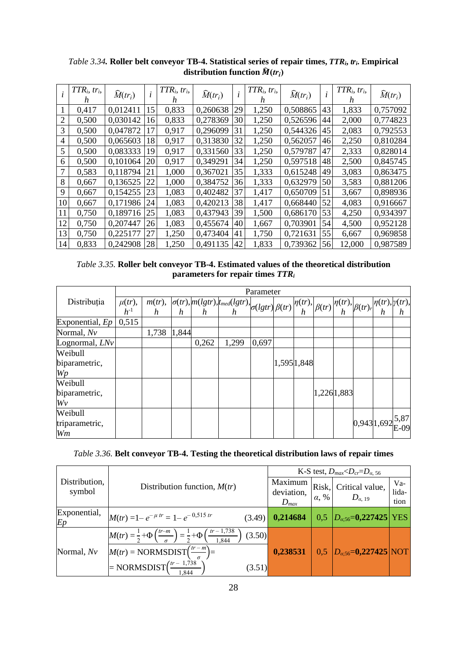|    | $TTR_i, \, tr_i,$<br>h | $\widehat{M}(tr_i)$ |    | $TTR_i, \, tr_i,$<br>n. | $\widehat{M}(tr_i)$ | i  | $TTR_i, \, tr_i,$<br>n | $\widehat{M}(tr_i)$ |     | $TTR_i, \, tr_i,$<br>h | $\widehat{M}(tr_i)$ |
|----|------------------------|---------------------|----|-------------------------|---------------------|----|------------------------|---------------------|-----|------------------------|---------------------|
| 1  | 0,417                  | 0,012411            | 15 | 0,833                   | 0,260638            | 29 | 1,250                  | 0,508865            | 43  | 1,833                  | 0,757092            |
| 2  | 0,500                  | 0,030142            | 16 | 0,833                   | 0,278369            | 30 | 1,250                  | 0,526596            | 44  | 2,000                  | 0,774823            |
| 3  | 0,500                  | 0,047872            | 17 | 0,917                   | 0,296099            | 31 | 1,250                  | 0,544326            | 45  | 2,083                  | 0,792553            |
| 4  | 0,500                  | 0.065603            | 18 | 0,917                   | 0.313830            | 32 | 1,250                  | 0,562057            | 46  | 2,250                  | 0,810284            |
| 5  | 0,500                  | 0,083333            | 19 | 0,917                   | 0,331560            | 33 | 1,250                  | 0,579787            | 47  | 2,333                  | 0,828014            |
| 6  | 0,500                  | 0,101064            | 20 | 0,917                   | 0,349291            | 34 | 1,250                  | 0,597518            | 48  | 2,500                  | 0,845745            |
| 7  | 0,583                  | 0,118794            | 21 | 1,000                   | 0,367021            | 35 | 1,333                  | 0,615248            | 49  | 3,083                  | 0,863475            |
| 8  | 0,667                  | 0,136525            | 22 | 1,000                   | 0,384752            | 36 | 1,333                  | 0,632979            | 50  | 3,583                  | 0,881206            |
| 9  | 0,667                  | 0.154255            | 23 | 1,083                   | 0,402482            | 37 | 1,417                  | 0,650709            | 51  | 3,667                  | 0,898936            |
| 10 | 0,667                  | 0,171986            | 24 | 1,083                   | 0,420213            | 38 | 1,417                  | 0,668440            | 52  | 4,083                  | 0,916667            |
| 11 | 0,750                  | 0,189716            | 25 | 1,083                   | 0,437943            | 39 | 1,500                  | 0,686170            | 53  | 4,250                  | 0.934397            |
| 12 | 0,750                  | 0,207447            | 26 | 1,083                   | 0,455674            | 40 | 1,667                  | 0,703901            | 54  | 4,500                  | 0,952128            |
| 13 | 0,750                  | 0,225177            | 27 | 1,250                   | 0,473404            | 41 | 1,750                  | 0,721631            | 55  | 6,667                  | 0,969858            |
| 14 | 0,833                  | 0,242908            | 28 | 1,250                   | 0,491135            | 42 | 1,833                  | 0,739362            | 561 | 12,000                 | 0,987589            |

*Table 3.34.* **Roller belt conveyor TB-4. Statistical series of repair times,** *TTRi***,** *tri***. Empirical distribution function**  $\widehat{M}(tr_i)$ 

*Table 3.35.* **Roller belt conveyor TB-4. Estimated values of the theoretical distribution parameters for repair times** *TTR<sup>i</sup>*

|                    |                         |                |       |       |                                                                                                                                                                                                                                                                                                                         | Parameter |             |  |            |                                                           |  |
|--------------------|-------------------------|----------------|-------|-------|-------------------------------------------------------------------------------------------------------------------------------------------------------------------------------------------------------------------------------------------------------------------------------------------------------------------------|-----------|-------------|--|------------|-----------------------------------------------------------|--|
| Distribuția        | $\mu(tr)$ ,<br>$h^{-1}$ | $m(tr)$ ,<br>h |       |       | $\begin{vmatrix} \sigma(tr), m(lgtr), t_{med}(lgtr), \\ h & h \end{vmatrix} \sigma(lgtr) \begin{vmatrix} \rho(tr), \\ h \end{vmatrix} \beta(tr) \begin{vmatrix} \eta(tr), \\ h \end{vmatrix} \beta(tr) \begin{vmatrix} \eta(tr), \\ h \end{vmatrix} \beta(tr) \begin{vmatrix} \eta(tr), \\ h \end{vmatrix} \gamma(tr),$ |           |             |  |            |                                                           |  |
| Exponential, $Ep$  | 0,515                   |                |       |       |                                                                                                                                                                                                                                                                                                                         |           |             |  |            |                                                           |  |
| Normal, Nv         |                         | 1,738          | 1,844 |       |                                                                                                                                                                                                                                                                                                                         |           |             |  |            |                                                           |  |
| Lognormal, $L N v$ |                         |                |       | 0,262 | 1,299                                                                                                                                                                                                                                                                                                                   | 0,697     |             |  |            |                                                           |  |
| Weibull            |                         |                |       |       |                                                                                                                                                                                                                                                                                                                         |           |             |  |            |                                                           |  |
| biparametric,      |                         |                |       |       |                                                                                                                                                                                                                                                                                                                         |           | 1,595 1,848 |  |            |                                                           |  |
| Wp                 |                         |                |       |       |                                                                                                                                                                                                                                                                                                                         |           |             |  |            |                                                           |  |
| Weibull            |                         |                |       |       |                                                                                                                                                                                                                                                                                                                         |           |             |  |            |                                                           |  |
| biparametric,      |                         |                |       |       |                                                                                                                                                                                                                                                                                                                         |           |             |  | 1,2261,883 |                                                           |  |
| Wv                 |                         |                |       |       |                                                                                                                                                                                                                                                                                                                         |           |             |  |            |                                                           |  |
| Weibull            |                         |                |       |       |                                                                                                                                                                                                                                                                                                                         |           |             |  |            |                                                           |  |
| triparametric,     |                         |                |       |       |                                                                                                                                                                                                                                                                                                                         |           |             |  |            | $0,943$ <sub>1</sub> ,692 <sup>5,87</sup> <sub>E-09</sub> |  |
| Wm                 |                         |                |       |       |                                                                                                                                                                                                                                                                                                                         |           |             |  |            |                                                           |  |

*Table 3.36.* **Belt conveyor TB-4. Testing the theoretical distribution laws of repair times**

|                         |                                                                                                                                                                                         |                                    |              | K-S test, $D_{max} < D_{cr} = D_{a.56}$      |                        |
|-------------------------|-----------------------------------------------------------------------------------------------------------------------------------------------------------------------------------------|------------------------------------|--------------|----------------------------------------------|------------------------|
| Distribution,<br>symbol | Distribution function, $M(tr)$                                                                                                                                                          | Maximum<br>deviation,<br>$D_{max}$ | $\alpha$ , % | Risk, Critical value,<br>$D_{\alpha, 19}$    | $Va-$<br>lida-<br>tion |
| Exponential,<br>Ep      | $M(tr) = 1 - e^{-\mu tr} = 1 - e^{-0.515 tr}$<br>(3.49)                                                                                                                                 | 0,214684                           | 0.5          | $ D_{\alpha,56}=0,227425 $ YES               |                        |
| Normal, Nv              | $M(tr) = \frac{1}{2} + \Phi\left(\frac{tr-m}{\sigma}\right) = \frac{1}{2} + \Phi\left(\frac{tr-1,738}{1,844}\right)$<br>(3.50)<br>$M(tr) = NORMSDIST\left(\frac{tr-m}{\sigma}\right) =$ | 0,238531                           |              | $\boxed{0,5}$ $D_{\alpha;56}$ = 0,227425 NOT |                        |
|                         | = NORMSDIST $(\frac{tr-1,738}{1.844})$<br>(3.51)<br>1.844                                                                                                                               |                                    |              |                                              |                        |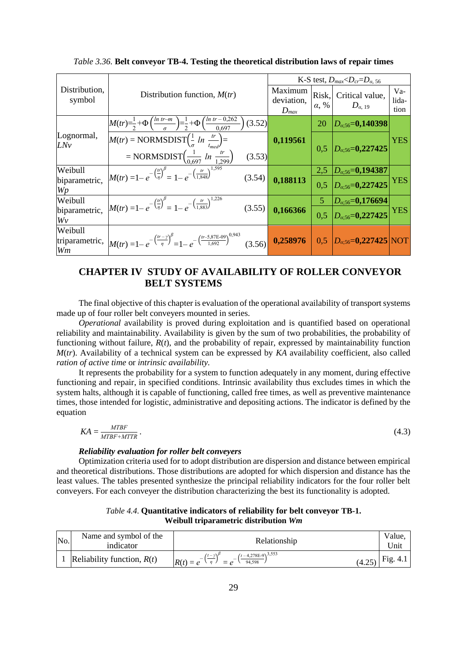|                                 |                                                                                                                                                       |                                    |                       | K-S test, $D_{max} < D_{cr} = D_{a.56}$ |                        |
|---------------------------------|-------------------------------------------------------------------------------------------------------------------------------------------------------|------------------------------------|-----------------------|-----------------------------------------|------------------------|
| Distribution,<br>symbol         | Distribution function, $M(tr)$                                                                                                                        | Maximum<br>deviation,<br>$D_{max}$ | Risk,<br>$\alpha$ , % | Critical value,<br>$D_{\alpha, 19}$     | $Va-$<br>lida-<br>tion |
|                                 | $M(tr) = \frac{1}{2} + \Phi\left(\frac{ln \ t r - m}{\sigma}\right) = \frac{1}{2} + \Phi\left(\frac{ln \ t r - 0.262}{0.697}\right)$<br>(3.52)        |                                    | 20                    | $D_{\alpha:56} = 0,140398$              |                        |
| Lognormal,<br>LNv               | $M(tr) = NORMSDIST(\frac{1}{\sigma} ln \frac{tr}{t_{med}})$                                                                                           | 0,119561                           | 0.5                   | $D_{\alpha,56} = 0,227425$              | <b>YES</b>             |
|                                 | = NORMSDIST $\left(\frac{1}{0,697} ln \frac{tr}{1,299}\right)$<br>(3.53)                                                                              |                                    |                       |                                         |                        |
| Weibull                         | $M(tr) = 1 - e^{-\left(\frac{tr}{\eta}\right)^{\beta}} = 1 - e^{-\left(\frac{tr}{1.848}\right)^{1,595}}$                                              |                                    | 2,5                   | $D_{\alpha;56}$ =0,194387               |                        |
| biparametric,<br>Wp             | (3.54)                                                                                                                                                | 0,188113                           | 0,5                   | $D_{\alpha,56} = 0,227425$              | <b>YES</b>             |
| Weibull                         | $M(tr) = 1 - e^{-\left(\frac{tr}{\eta}\right)^{\beta}} = 1 - e^{-\left(\frac{tr}{1.883}\right)^{1,226}}$                                              |                                    | 5                     | $D_{\alpha;56} = 0,176694$              |                        |
| biparametric,<br>Wv             | (3.55)                                                                                                                                                | 0,166366                           | 0.5                   | $D_{\alpha,56} = 0,227425$              | <b>YES</b>             |
| Weibull<br>triparametric,<br>Wm | $M(tr) = 1 - e^{-\left(\frac{tr - \gamma}{\eta}\right)^{\beta}} = 1 - e^{-\left(\frac{tr - 5,87E - 09}{1,692}\right)^{0,943}}$ (3.56) <b>0,258976</b> |                                    |                       | $0,5$ $D_{\alpha,56} = 0,227425$ NOT    |                        |

*Table 3.36.* **Belt conveyor TB-4. Testing the theoretical distribution laws of repair times**

## **CHAPTER IV STUDY OF AVAILABILITY OF ROLLER CONVEYOR BELT SYSTEMS**

The final objective of this chapter is evaluation of the operational availability of transport systems made up of four roller belt conveyers mounted in series.

*Operational* availability is proved during exploitation and is quantified based on operational reliability and maintainability. Availability is given by the sum of two probabilities, the probability of functioning without failure, *R*(*t*), and the probability of repair, expressed by maintainability function *M*(*tr*). Availability of a technical system can be expressed by *KA* availability coefficient, also called *ration of active time* or *intrinsic availability.*

It represents the probability for a system to function adequately in any moment, during effective functioning and repair, in specified conditions. Intrinsic availability thus excludes times in which the system halts, although it is capable of functioning, called free times, as well as preventive maintenance times, those intended for logistic, administrative and depositing actions. The indicator is defined by the equation

$$
KA = \frac{MTBF}{MTBF + MTTR} \tag{4.3}
$$

#### *Reliability evaluation for roller belt conveyers*

Optimization criteria used for to adopt distribution are dispersion and distance between empirical and theoretical distributions. Those distributions are adopted for which dispersion and distance has the least values. The tables presented synthesize the principal reliability indicators for the four roller belt conveyers. For each conveyer the distribution characterizing the best its functionality is adopted.

*Table 4.4*. **Quantitative indicators of reliability for belt conveyor TB-1. Weibull triparametric distribution** *Wm*

| No. | Name and symbol of the<br>indicator | Relationship                                                                                     | Value,<br>'Jnit |
|-----|-------------------------------------|--------------------------------------------------------------------------------------------------|-----------------|
|     | Reliability function, $R(t)$        | $(t-4,278E-9)^{3,553}$<br>$(t - v)$<br>$R(t) = e$<br>(4.25)<br>94,598<br>n<br>$\equiv$<br>$\rho$ | Fig. 4.1        |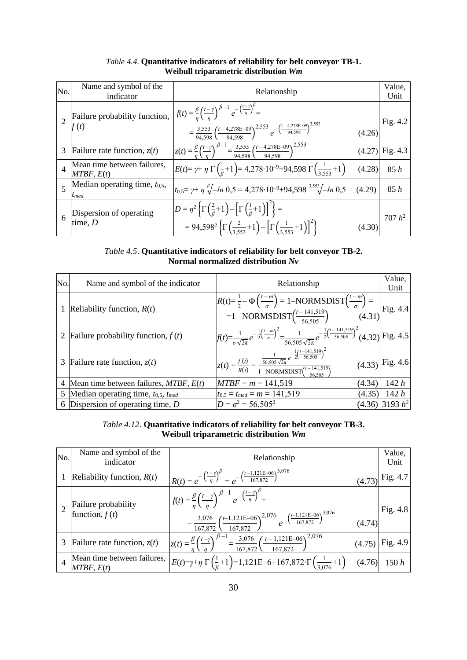| No.            | Name and symbol of the<br>indicator             | Relationship                                                                                                                                                                                                                                                                              |        | Value,<br>Unit |
|----------------|-------------------------------------------------|-------------------------------------------------------------------------------------------------------------------------------------------------------------------------------------------------------------------------------------------------------------------------------------------|--------|----------------|
|                | Failure probability function,<br>$1^{2}  f(t) $ | $\int f(t) = \frac{\beta}{n} \left(\frac{t-\gamma}{n}\right)^{\beta-1} e^{-\left(\frac{t-\gamma}{\eta}\right)^{\beta}} =$<br>$=\frac{3,553}{94,598}\left(\frac{t-4,278E-09}{94,598}\right)^{2,553}e^{-\left(\frac{t-4,278E-09}{94,598}\right)^{3,553}}$                                   | (4.26) | Fig. 4.2       |
| 3              | Failure rate function, $z(t)$                   | $z(t) = \frac{\beta}{n} \left(\frac{t-\gamma}{n}\right)^{\beta-1} = \frac{3{,}553}{94{,}598} \left(\frac{t-4{,}278E-09}{94{,}598}\right)^{2{,}553}$                                                                                                                                       | (4.27) | Fig. 4.3       |
| $\overline{4}$ | Mean time between failures,<br>$MTBF$ , $E(t)$  | $E(t) = \gamma + \eta \Gamma \left( \frac{1}{6} + 1 \right) = 4,278 \cdot 10^{-9} + 94,598 \Gamma \left( \frac{1}{3.553} + 1 \right)$                                                                                                                                                     | (4.28) | 85h            |
| $\overline{5}$ | Median operating time, $t_{0,5}$ ,<br>$t_{med}$ | $t_{0.5} = \gamma + \eta \sqrt[{\beta}]{-ln\ 0.5} = 4{,}278\cdot 10^{-9} + 94{,}598 \sqrt[3,553]{-ln\ 0.5}$                                                                                                                                                                               | (4.29) | 85h            |
| 6              | Dispersion of operating<br>time, $D$            | $D = \eta^2 \left\{ \Gamma \left( \frac{2}{\beta} + 1 \right) - \left[ \Gamma \left( \frac{1}{\beta} + 1 \right) \right]^2 \right\} =$<br>= 94,598 <sup>2</sup> $\left\{ \Gamma \left( \frac{2}{3.553} + 1 \right) - \left[ \Gamma \left( \frac{1}{3.553} + 1 \right) \right]^2 \right\}$ | (4.30) | $707 h^2$      |

## *Table 4.4*. **Quantitative indicators of reliability for belt conveyor TB-1. Weibull triparametric distribution** *Wm*

*Table 4.5*. **Quantitative indicators of reliability for belt conveyor TB-2. Normal normalized distribution** *Nv*

| No. | Name and symbol of the indicator               | Relationship                                                                                                                                                                                     | Value,             |
|-----|------------------------------------------------|--------------------------------------------------------------------------------------------------------------------------------------------------------------------------------------------------|--------------------|
|     |                                                |                                                                                                                                                                                                  | Unit               |
|     | Reliability function, $R(t)$                   | $R(t) = \frac{1}{2} - \Phi\left(\frac{t-m}{\sigma}\right) = 1 - NORMSDIST\left(\frac{t-m}{\sigma}\right) =$<br>=1- NORMSDIST $\left(\frac{t-141,519}{56,505}\right)$ (4.31)                      |                    |
|     | 2 Failure probability function, $f(t)$         | $f(t) = \frac{1}{\sigma \sqrt{2\pi}} e^{-\frac{1}{2} \left(\frac{t-m}{\sigma}\right)^2} = \frac{1}{56,505 \sqrt{2\pi}} e^{-\frac{1}{2} \left(\frac{t-141,519}{56,505}\right)^2} (4.32)$ Fig. 4.5 |                    |
|     | 3 Failure rate function, $z(t)$                | $z(t) = \frac{f(t)}{R(t)} = \frac{\frac{1}{56,505\sqrt{2\pi}}e^{-\frac{1}{2}(\frac{t-141,519}{56,505})^2}}{1-\text{NORMSDIST}(\frac{t-141,519}{56,505})}$                                        | $(4.33)$ Fig. 4.6  |
| 4   | Mean time between failures, $MTBF$ , $E(t)$    | $MTBF = m = 141,519$<br>(4.34)                                                                                                                                                                   | 142h               |
|     | 5 Median operating time, $t_{0.5}$ , $t_{med}$ | $t_{0,5} = t_{med} = m = 141,519$<br>(4.35)                                                                                                                                                      | 142h               |
|     | 6 Dispersion of operating time, $D$            | $D = \sigma^2 = 56,505^2$                                                                                                                                                                        | $(4.36)$ 3193 $h2$ |

## *Table 4.12*. **Quantitative indicators of reliability for belt conveyor TB-3. Weibull triparametric distribution** *Wm*

| No.            | Name and symbol of the<br>indicator       | Relationship                                                                                                                                                                                                                                                                                            | Value,<br>Unit    |
|----------------|-------------------------------------------|---------------------------------------------------------------------------------------------------------------------------------------------------------------------------------------------------------------------------------------------------------------------------------------------------------|-------------------|
|                | Reliability function, $R(t)$              | $R(t) = e^{-\left(\frac{t-\gamma}{\eta}\right)^{\beta}} = e^{-\left(\frac{t-1,121E-06}{167,872}\right)^{3,076}}$                                                                                                                                                                                        | $(4.73)$ Fig. 4.7 |
|                | Failure probability<br>function, $f(t)$   | $\left  f(t) = \frac{\beta}{n} \left( \frac{t-\gamma}{n} \right)^{\beta-1} e^{-\left( \frac{t-\gamma}{n} \right)^{\beta}} \right $<br>$=\frac{3,076}{167.872}\left(\frac{t-1,121E-06}{t-1.55E-0.05}\right)^{2,076}e^{-\left(\frac{t-1,121E-06}{167,872}\right)^{3,076}}$<br>(4.74)<br>$167,872$ 167,872 | Fig. 4.8          |
| 3              | Failure rate function, $z(t)$             | $z(t) = \frac{\beta}{\eta} \left(\frac{t-\gamma}{\eta}\right)^{\beta-1} = \frac{3,076}{167,872} \left(\frac{t-1,121E-06}{167,872}\right)^{2,076}$<br>(4.75)                                                                                                                                             | Fig. 4.9          |
| $\overline{4}$ | Mean time between failures,<br>MTBF, E(t) | $E(t)=\gamma+\eta \Gamma(\frac{1}{6}+1)=1,121E-6+167,872 \cdot \Gamma(\frac{1}{3.076}+1)$ (4.76)                                                                                                                                                                                                        | 150h              |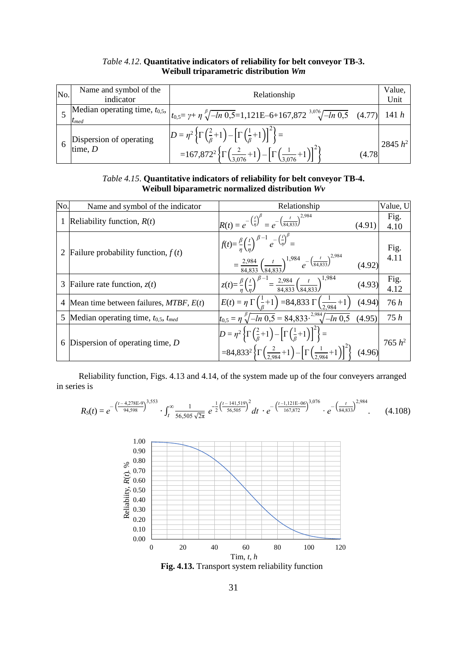| No. | Name and symbol of the  |                                                                                                                                        |        |                |
|-----|-------------------------|----------------------------------------------------------------------------------------------------------------------------------------|--------|----------------|
|     | indicator               | Relationship                                                                                                                           |        | Value,<br>Unit |
|     |                         | Median operating time, $t_{0.5}$ , $t_{0.5} = \gamma + \eta \sqrt[3]{-ln 0.5} = 1,121E-6+167,872 \sqrt[3.076]{-ln 0.5}$ (4.77) 141 h   |        |                |
|     |                         |                                                                                                                                        |        |                |
|     | Dispersion of operating | $D = \eta^2 \left\{ \Gamma \left( \frac{2}{\beta} + 1 \right) - \left[ \Gamma \left( \frac{1}{\beta} + 1 \right) \right]^2 \right\} =$ |        | 2845 $h^2$     |
|     | time, $D$               | $=167,872^{2}\left\{\Gamma\left(\frac{2}{3,076}+1\right)-\left[\Gamma\left(\frac{1}{3,076}+1\right)\right]^{2}\right\}$                | (4.78) |                |

#### *Table 4.12*. **Quantitative indicators of reliability for belt conveyor TB-3. Weibull triparametric distribution** *Wm*

*Table 4.15*. **Quantitative indicators of reliability for belt conveyor TB-4. Weibull biparametric normalized distribution** *Wv*

| No. | Name and symbol of the indicator             | Relationship                                                                                                                                                                                                                                                                                    | Value, U     |
|-----|----------------------------------------------|-------------------------------------------------------------------------------------------------------------------------------------------------------------------------------------------------------------------------------------------------------------------------------------------------|--------------|
|     | Reliability function, $R(t)$                 | $R(t) = e^{-\left(\frac{t}{\eta}\right)^{\beta}} = e^{-\left(\frac{t}{84,833}\right)^{2,984}}$<br>(4.91)                                                                                                                                                                                        | Fig.<br>4.10 |
|     | Failure probability function, $f(t)$         | $f(t) = \frac{\beta}{n} \left(\frac{t}{n}\right)^{\beta-1} e^{-\left(\frac{t}{n}\right)^{\beta}} =$<br>$=\frac{2,984}{84,833} \left(\frac{t}{84,833}\right)^{1,984} e^{-\left(\frac{t}{84,833}\right)^{2,984}} \qquad (4.92)$                                                                   | Fig.         |
| 3   | Failure rate function, $z(t)$                | $z(t) = \frac{\beta}{n} \left(\frac{t}{n}\right)^{\beta - 1} = \frac{2,984}{84.833} \left(\frac{t}{84.833}\right)^{1,984}$<br>(4.93)                                                                                                                                                            | Fig.         |
|     | Mean time between failures, $MTBF$ , $E(t)$  | $E(t) = \eta \Gamma \left( \frac{1}{\beta} + 1 \right) = 84,833 \Gamma \left( \frac{1}{2.984} + 1 \right)$<br>(4.94)                                                                                                                                                                            | 76h          |
| 5   | Median operating time, $t_{0.5}$ , $t_{med}$ | $t_{0,5} = \eta \sqrt[3]{-ln\ 0,5} = 84,833 \sqrt[2.984]{-ln\ 0,5}$<br>(4.95)                                                                                                                                                                                                                   | 75h          |
| 6   | Dispersion of operating time, $D$            | $D = \eta^2 \left\{ \Gamma \left( \frac{2}{\beta} + 1 \right) - \left[ \Gamma \left( \frac{1}{\beta} + 1 \right) \right]^2 \right\} =$<br>=84,833 <sup>2</sup> $\left\{ \Gamma \left( \frac{2}{2.984} + 1 \right) - \left[ \Gamma \left( \frac{1}{2.984} + 1 \right) \right]^2 \right\}$ (4.96) | 765 $h^2$    |

Reliability function, Figs. 4.13 and 4.14, of the system made up of the four conveyers arranged in series is

$$
R_S(t) = e^{-\left(\frac{t - 4.278E - 9}{94.598}\right)^{3,553}} \cdot \int_t^{\infty} \frac{1}{56,505\sqrt{2\pi}} e^{-\frac{1}{2}\left(\frac{t - 141.519}{56,505}\right)^2} dt \cdot e^{-\left(\frac{t - 1.121E - 06}{167,872}\right)^{3,076}} \cdot e^{-\left(\frac{t}{84,833}\right)^{2,984}} \tag{4.108}
$$



**Fig. 4.13.** Transport system reliability function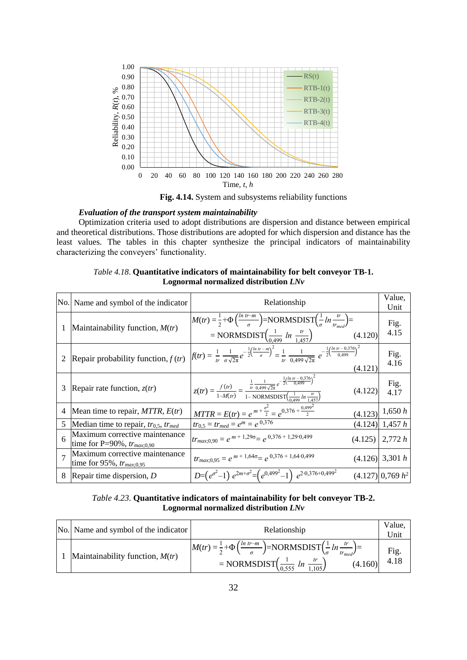

**Fig. 4.14.** System and subsystems reliability functions

#### *Evaluation of the transport system maintainability*

Optimization criteria used to adopt distributions are dispersion and distance between empirical and theoretical distributions. Those distributions are adopted for which dispersion and distance has the least values. The tables in this chapter synthesize the principal indicators of maintainability characterizing the conveyers' functionality.

| No.            | Name and symbol of the indicator                                  | Relationship                                                                                                                                                                                                                   | Value,<br>Unit       |
|----------------|-------------------------------------------------------------------|--------------------------------------------------------------------------------------------------------------------------------------------------------------------------------------------------------------------------------|----------------------|
|                | Maintainability function, $M(tr)$                                 | $M(tr) = \frac{1}{2} + \Phi\left(\frac{ln tr - m}{\sigma}\right) = NORMSDIST\left(\frac{1}{\sigma} ln \frac{tr}{tr - \frac{1}{\sigma}}\right) =$<br>= NORMSDIST $\left(\frac{1}{0.499} \ln \frac{tr}{1.457}\right)$<br>(4.120) | Fig.<br>4.15         |
|                | Repair probability function, $f(tr)$                              | $f(tr) = \frac{1}{tr} \frac{1}{\sigma \sqrt{2\pi}} e^{-\frac{1}{2} \left(\frac{ln tr - m}{\sigma}\right)^2} = \frac{1}{tr} \frac{1}{0.499 \sqrt{2\pi}} e^{-\frac{1}{2} \left(\frac{ln tr - 0.376}{0.499}\right)^2}$<br>(4.121) | Fig.<br>4.16         |
| 3              | Repair rate function, $z(tr)$                                     | $z(tr) = \frac{f(r)}{1-M(r)} = \frac{\frac{1}{tr} \frac{1}{0.499 \sqrt{2\pi}} e^{-\frac{1}{2} (\frac{ln \; tr - 0.376}{0.499})^2}}{1-NORMSDIST(\frac{1}{0.400} \ln \frac{tr}{1.457})}$<br>(4.122)                              | Fig.<br>4.17         |
| 4              | Mean time to repair, $MTTR$ , $E(tr)$                             | $MTTR = E(tr) = e^{m + \frac{\sigma^2}{2}} = e^{0.376 + \frac{0.499^2}{2}}$                                                                                                                                                    | $(4.123)$ 1,650 h    |
| 5              | Median time to repair, $tr_{0.5}$ , $tr_{med}$                    | $tr_{0,5} = tr_{med} = e^m = e^{0,376}$                                                                                                                                                                                        | $(4.124)$ 1,457 h    |
| 6              | Maximum corrective maintenance<br>time for P=90%, $tr_{max;0.90}$ | $tr_{max,0,90} = e^{m+1,295} = e^{0,376+1,29\cdot0,499}$<br>(4.125)                                                                                                                                                            | 2,772h               |
| $\overline{7}$ | Maximum corrective maintenance<br>time for 95%, $tr_{max;0.95}$   | $tr_{max;0,95} = e^{m+1,645} = e^{0,376+1,64\cdot0,499}$                                                                                                                                                                       | $(4.126)$ 3,301 h    |
| 8              | Repair time dispersion, $D$                                       | $D=(e^{\sigma^2}-1)e^{2m+\sigma^2}=(e^{0,499^2}-1)e^{2\cdot 0,376+0,499^2}$                                                                                                                                                    | $(4.127)$ 0,769 $h2$ |

*Table 4.18*. **Quantitative indicators of maintainability for belt conveyor TB-1. Lognormal normalized distribution** *LNv*

#### *Table 4.23*. **Quantitative indicators of maintainability for belt conveyor TB-2. Lognormal normalized distribution** *LNv*

| No. Name and symbol of the indicator | Relationship                                                                                                                                                                                                   | Value.<br>Jnii |
|--------------------------------------|----------------------------------------------------------------------------------------------------------------------------------------------------------------------------------------------------------------|----------------|
| Maintainability function, $M(tr)$    | $M(tr) = \frac{1}{2} + \Phi\left(\frac{ln tr - m}{\sigma}\right) = NORMSDIST\left(\frac{1}{\sigma}ln\frac{tr}{tr_{med}}\right) =$<br>= NORMSDIST $\left(\frac{1}{0.555} ln \frac{tr}{1.105}\right)$<br>(4.160) | Fig.<br>4.18   |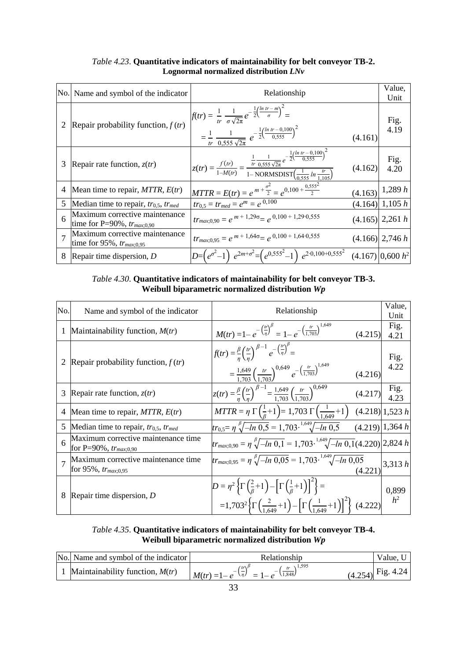|   | No. Name and symbol of the indicator                              | Relationship                                                                                                                                                                                                                     |         | Value,<br>Unit       |
|---|-------------------------------------------------------------------|----------------------------------------------------------------------------------------------------------------------------------------------------------------------------------------------------------------------------------|---------|----------------------|
|   | Repair probability function, $f(tr)$                              | $f(tr) = \frac{1}{tr} \frac{1}{\sigma \sqrt{2\pi}} e^{-\frac{1}{2} \left( \frac{ln tr - m}{\sigma} \right)^2} =$<br>$= \frac{1}{tr} \frac{1}{0.555 \sqrt{2\pi}} e^{-\frac{1}{2} \left( \frac{ln \ tr - 0.100}{0.555} \right)^2}$ | (4.161) | Fig.<br>4.19         |
| 3 | Repair rate function, $z(tr)$                                     | $z(tr) = \frac{f(tr)}{1-M(tr)} = \frac{\frac{1}{tr} \frac{1}{0.555 \sqrt{2\pi}} e^{-\frac{1}{2} \left(\frac{ln tr - 0.100}{0.555}\right)^2}}{1 - \text{NORMSDIST}\left(\frac{1}{0.555} ln \frac{tr}{1.105}\right)}$              | (4.162) | Fig.<br>$4.20$       |
| 4 | Mean time to repair, $MTTR$ , $E(tr)$                             | $MTTR = E(tr) = e^{m + \frac{\sigma^2}{2}} = e^{0,100 + \frac{0,555^2}{2}}$                                                                                                                                                      |         | $(4.163)$ 1,289 h    |
| 5 | Median time to repair, $tr_{0.5}$ , $tr_{med}$                    | $tr_{0,5} = tr_{med} = e^m = e^{0,100}$                                                                                                                                                                                          |         | $(4.164)$ 1,105 h    |
| 6 | Maximum corrective maintenance<br>time for P=90%, $tr_{max;0.90}$ | $tr_{max;0,90} = e^{m+1,296} = e^{0,100+1,29\cdot0,555}$                                                                                                                                                                         |         | $(4.165)$ 2,261 h    |
|   | Maximum corrective maintenance<br>time for 95%, $tr_{max;0.95}$   | $tr_{max,0.95} = e^{m+1,64\sigma} = e^{0,100+1,64\cdot0,555}$                                                                                                                                                                    |         | $(4.166)$ 2,746 h    |
| 8 | Repair time dispersion, $D$                                       | $D = (e^{\sigma^2} - 1) e^{2m + \sigma^2} = (e^{0.555^2} - 1) e^{2 \cdot 0.100 + 0.555^2}$                                                                                                                                       |         | $(4.167)$ 0.600 $h2$ |

*Table 4.23*. **Quantitative indicators of maintainability for belt conveyor TB-2. Lognormal normalized distribution** *LNv*

*Table 4.30*. **Quantitative indicators of maintainability for belt conveyor TB-3. Weibull biparametric normalized distribution** *Wp*

| No.            | Name and symbol of the indicator                                  | Relationship                                                                                                                                                                                                                                                         | Value,<br>Unit          |
|----------------|-------------------------------------------------------------------|----------------------------------------------------------------------------------------------------------------------------------------------------------------------------------------------------------------------------------------------------------------------|-------------------------|
| 1              | Maintainability function, $M(tr)$                                 | $M(tr) = 1 - e^{-\left(\frac{tr}{\eta}\right)^{\beta}} = 1 - e^{-\left(\frac{tr}{1,703}\right)^{1,649}}$<br>(4.215)                                                                                                                                                  | Fig.<br>4.21            |
|                | Repair probability function, $f(tr)$                              | $\left  f(tr) = \frac{\beta}{n} \left( \frac{tr}{n} \right)^{\beta - 1} e^{-\left( \frac{tr}{n} \right)^{\beta}} = \right $<br>$=\frac{1,649}{1,703}\left(\frac{tr}{1,703}\right)^{0,649}e^{-\left(\frac{tr}{1,703}\right)^{1,649}}$<br>(4.216)                      | Fig.<br>4.22            |
| 3              | Repair rate function, $z(tr)$                                     | $z(tr) = \frac{\beta}{n} \left(\frac{tr}{n}\right)^{\beta - 1} = \frac{1,649}{1.703} \left(\frac{tr}{1.703}\right)^{0,649}$<br>(4.217)                                                                                                                               | Fig.<br>4.23            |
| $\overline{4}$ | Mean time to repair, $MTTR$ , $E(tr)$                             | $MTTR = \eta \Gamma\left(\frac{1}{6} + 1\right) = 1,703 \Gamma\left(\frac{1}{1.649} + 1\right)$                                                                                                                                                                      | $(4.218)$ 1,523 h       |
| 5              | Median time to repair, $tr_{0.5}$ , $tr_{med}$                    | $tr_{0.5} = \eta \sqrt[3]{-ln 0.5} = 1{,}703 \cdot \sqrt[1.649]{-ln 0.5}$                                                                                                                                                                                            | $(4.219)$ 1,364 h       |
| 6              | Maximum corrective maintenance time<br>for P=90%, $tr_{max;0,90}$ | $\left tr_{max,0,90} = \eta \sqrt[6]{-ln\ 0,1} = 1{,}703 \cdot \frac{1,649}{\sqrt{-ln\ 0,1}} (4.220) \right  2{,}824 \ h$                                                                                                                                            |                         |
|                | Maximum corrective maintenance time<br>for 95%, $tr_{max;0,95}$   | $tr_{max;0.95} = \eta \sqrt[3]{-ln\ 0.05} = 1.703 \cdot {}^{1.649} \sqrt{-ln\ 0.05}$                                                                                                                                                                                 | $(4.221)^{3,313h}$      |
| 8              | Repair time dispersion, $D$                                       | $D = \eta^2 \left\{ \Gamma \left( \frac{2}{\beta} + 1 \right) - \left[ \Gamma \left( \frac{1}{\beta} + 1 \right) \right]^2 \right\} =$<br>=1,703 <sup>2</sup> { $\Gamma\left(\frac{2}{1.649}+1\right) - \left[\Gamma\left(\frac{1}{1.649}+1\right)\right]^2$ (4.222) | 0,899<br>h <sup>2</sup> |

## *Table 4.35*. **Quantitative indicators of maintainability for belt conveyor TB-4. Weibull biparametric normalized distribution** *Wp*

| No. Name and symbol of the indicator | <b>Relationship</b>                                                                                  | Value. U            |
|--------------------------------------|------------------------------------------------------------------------------------------------------|---------------------|
| Maintainability function, $M(tr)$    | $M(tr) = 1 - e^{-\left(\frac{tr}{\eta}\right)^{\beta}} = 1 - e^{-\left(\frac{tr}{1,848}\right)^{1}}$ | $(4.254)$ Fig. 4.24 |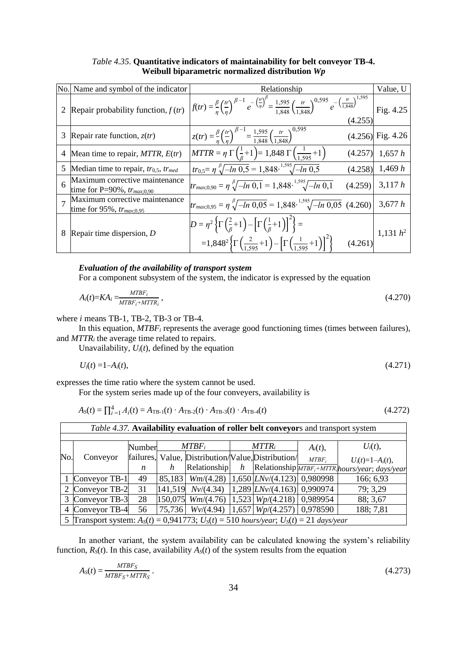| No. | Name and symbol of the indicator                                  | Relationship                                                                                                                                                                                                                                                    |         | Value, U            |
|-----|-------------------------------------------------------------------|-----------------------------------------------------------------------------------------------------------------------------------------------------------------------------------------------------------------------------------------------------------------|---------|---------------------|
| 2   | Repair probability function, $f(tr)$                              | $f(tr) = \frac{\beta}{\eta} \left(\frac{tr}{n}\right)^{\beta-1} e^{-\left(\frac{tr}{\eta}\right)^{\beta}} = \frac{1,595}{1.848} \left(\frac{tr}{1.848}\right)^{0,595} e^{-\left(\frac{tr}{1,848}\right)^{1,595}}$                                               | (4.255) | Fig. 4.25           |
| 3   | Repair rate function, $z(tr)$                                     | $\int z(tr) = \frac{\beta}{n} \left(\frac{tr}{n}\right)^{\beta-1} = \frac{1,595}{1.848} \left(\frac{tr}{1.848}\right)^{0,595}$                                                                                                                                  |         | $(4.256)$ Fig. 4.26 |
| 4   | Mean time to repair, $MTTR$ , $E(tr)$                             | $MTTR = \eta \Gamma \left( \frac{1}{6} + 1 \right) = 1,848 \Gamma \left( \frac{1}{1.595} + 1 \right)$                                                                                                                                                           |         | $(4.257)$ 1,657 h   |
| 5   | Median time to repair, $tr_{0.5}$ , $tr_{med}$                    | $tr_{0.5} = \eta \sqrt[3]{-ln 0.5} = 1,848 \sqrt[1.595]{-ln 0.5}$                                                                                                                                                                                               |         | $(4.258)$ 1,469 h   |
| 6   | Maximum corrective maintenance<br>time for P=90%, $tr_{max;0.90}$ | $tr_{max;0,90} = \eta \sqrt[{\beta}]{-ln\ 0,1} = 1,848 \sqrt[1,595]{-ln\ 0,1}$                                                                                                                                                                                  | (4.259) | 3,117h              |
|     | Maximum corrective maintenance<br>time for 95%, $tr_{max;0.95}$   | $tr_{max;0.95} = \eta \sqrt[6]{-\ln 0.05} = 1.848 \cdot \sqrt[1.595]{-\ln 0.05}$ (4.260)                                                                                                                                                                        |         | 3,677h              |
| 8   | Repair time dispersion, $D$                                       | $D = \eta^2 \left\{ \Gamma \left( \frac{2}{\beta} + 1 \right) - \left[ \Gamma \left( \frac{1}{\beta} + 1 \right) \right]^2 \right\} =$<br>$=1,848^{2}\left\{\Gamma\left(\frac{2}{1.595}+1\right)-\left[\Gamma\left(\frac{1}{1.595}+1\right)\right]^{2}\right\}$ | (4.261) | 1,131 $h^2$         |

*Table 4.35*. **Quantitative indicators of maintainability for belt conveyor TB-4. Weibull biparametric normalized distribution** *Wp*

#### *Evaluation of the availability of transport system*

For a component subsystem of the system, the indicator is expressed by the equation

$$
A_i(t)=KA_i=\frac{MTBF_i}{MTBF_i+MTTR_i},\tag{4.270}
$$

where *i* means TB-1, TB-2, TB-3 or TB-4.

In this equation, *MTBF<sub>i</sub>* represents the average good functioning times (times between failures), and *MTTR<sup>i</sup>* the average time related to repairs.

Unavailability,  $U_i(t)$ , defined by the equation

$$
U_i(t) = 1 - A_i(t), \tag{4.271}
$$

expresses the time ratio where the system cannot be used.

For the system series made up of the four conveyers, availability is

$$
A_S(t) = \prod_{i=1}^{4} A_i(t) = A_{\text{TB-1}}(t) \cdot A_{\text{TB-2}}(t) \cdot A_{\text{TB-3}}(t) \cdot A_{\text{TB-4}}(t)
$$
\n(4.272)

| Table 4.37. Availability evaluation of roller belt conveyors and transport system |                                                                                            |        |        |                          |          |                                                        |            |                                                           |
|-----------------------------------------------------------------------------------|--------------------------------------------------------------------------------------------|--------|--------|--------------------------|----------|--------------------------------------------------------|------------|-----------------------------------------------------------|
|                                                                                   |                                                                                            | Number |        | $MTBF_i$                 | $MTTR_i$ |                                                        | $A_i(t)$ , | $U_i(t)$ ,                                                |
| No.                                                                               | Conveyor                                                                                   |        |        |                          |          | failures, Value, Distribution/Value, Distribution/     | $MTBF_i$   | $U_i(t)=1-A_i(t),$                                        |
|                                                                                   |                                                                                            | n      | h      | Relationship             | h        |                                                        |            | Relationship $\sqrt{MTBF_i+MTTR_i}$ hours/year; days/year |
|                                                                                   | Conveyor TB-1                                                                              | 49     |        | 85,183 <i>Wm</i> /(4.28) |          | $1,650$ $LNv/(4.123)$ 0,980998                         |            | 166; 6,93                                                 |
| 2                                                                                 | Conveyor TB-2                                                                              | 31     |        | $141,519$ $Nv/(4.34)$    |          | $\left 1,289\right  L\text{Nv}/(4.163)\right 0,990974$ |            | 79; 3,29                                                  |
| 3                                                                                 | Conveyor TB-3                                                                              | 28     |        | $150,075$ Wm/(4.76)      |          | $(1,523 \mid Wp/(4.218) \mid 0,989954)$                |            | 88; 3,67                                                  |
| $\overline{4}$                                                                    | Conveyor TB-4                                                                              | 56     | 75,736 | Wv/(4.94)                |          | $1,657$ $Wp/(4.257)$ 0.978590                          |            | 188; 7,81                                                 |
| 5                                                                                 | Transport system: $A_s(t) = 0.941773$ ; $U_s(t) = 510$ hours/year; $U_s(t) = 21$ days/year |        |        |                          |          |                                                        |            |                                                           |

In another variant, the system availability can be calculated knowing the system's reliability function,  $R_S(t)$ . In this case, availability  $A_S(t)$  of the system results from the equation

$$
A_S(t) = \frac{MTBF_S}{MTBF_S + MTTR_S} \,. \tag{4.273}
$$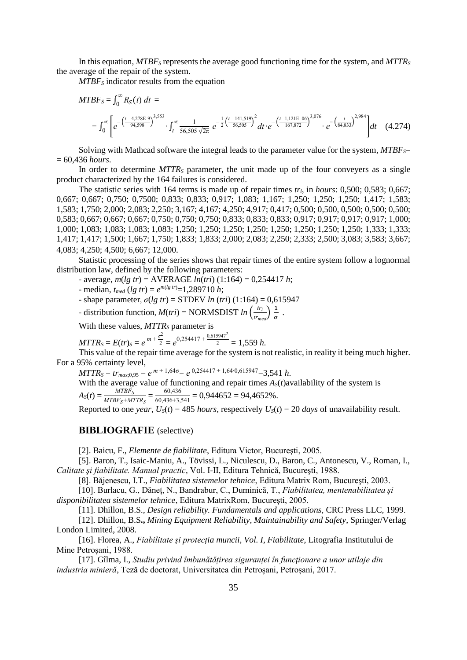In this equation, *MTBF<sup>S</sup>* represents the average good functioning time for the system, and *MTTR<sup>S</sup>* the average of the repair of the system.

*MTBF<sup>S</sup>* indicator results from the equation

$$
MTBF_{S} = \int_{0}^{\infty} R_{S}(t) dt =
$$
\n
$$
= \int_{0}^{\infty} \left[ e^{-\left(\frac{t - 4.278 \text{E} - 9}{94,598}\right)^{3,553}} \cdot \int_{t}^{\infty} \frac{1}{56,505\sqrt{2\pi}} e^{-\frac{1}{2}\left(\frac{t - 141,519}{56,505}\right)^{2}} dt \cdot e^{-\left(\frac{t - 1,121 \text{E} - 06}{167,872}\right)^{3,076}} \cdot e^{-\left(\frac{t}{84,833}\right)^{2,984}} \right] dt \quad (4.274)
$$

Solving with Mathcad software the integral leads to the parameter value for the system, *MTBFS*= = 60,436 *hours*.

In order to determine *MTTR<sub>S</sub>* parameter, the unit made up of the four conveyers as a single product characterized by the 164 failures is considered.

The statistic series with 164 terms is made up of repair times *tri*, in *hours*: 0,500; 0,583; 0,667; 0,667; 0,667; 0,750; 0,7500; 0,833; 0,833; 0,917; 1,083; 1,167; 1,250; 1,250; 1,250; 1,417; 1,583; 1,583; 1,750; 2,000; 2,083; 2,250; 3,167; 4,167; 4,250; 4,917; 0,417; 0,500; 0,500, 0,500; 0,500; 0,500; 0,583; 0,667; 0,667; 0,667; 0,750; 0,750; 0,750; 0,833; 0,833; 0,833; 0,917; 0,917; 0,917; 0,917; 1,000; 1,000; 1,083; 1,083; 1,083; 1,083; 1,250; 1,250; 1,250; 1,250; 1,250; 1,250; 1,250; 1,333; 1,333; 1,333; 1,417; 1,417; 1,500; 1,667; 1,750; 1,833; 1,833; 2,000; 2,083; 2,250; 2,333; 2,500; 3,083; 3,583; 3,667; 4,083; 4,250; 4,500; 6,667; 12,000*.*

Statistic processing of the series shows that repair times of the entire system follow a lognormal distribution law, defined by the following parameters:

- average, *m*(*lg tr*) = AVERAGE *ln*(*tri*) (1:164) = 0,254417 *h*;

 $-$  median,  $t_{med}$  (*lg tr*) =  $e^{m(\lg tr)}$  = 1,289710 *h*;

 $-$  shape parameter,  $σ(lg \ tr) =$  STDEV *ln* (*tri*) (1:164) = 0,615947

- distribution function,  $M(tri) = NORMSDIST$  *ln*  $\left(\frac{tr_i}{dr}\right)$  $\frac{tr_i}{tr_{med}}\bigg) \frac{1}{\sigma}$  $\frac{1}{\sigma}$  .

With these values, *MTTR<sup>S</sup>* parameter is

*MTTR*<sub>*S*</sub> =  $E(tr)$ <sub>S</sub> =  $e^{m + \frac{\sigma^2}{2}}$  $\frac{\sigma^2}{2} = e^{0.254417 + \frac{0.615947^2}{2}} = 1.559 h.$ 

This value of the repair time average for the system is not realistic, in reality it being much higher. For a 95% certainty level,

 $MTTR_S = tr_{max;0.95} = e^{m+1,64\sigma} = e^{0,254417 + 1,64 \cdot 0,615947} = 3,541 \ h.$ 

With the average value of functioning and repair times  $A<sub>S</sub>(t)$  availability of the system is  $A_S(t) = \frac{MTBF_S}{MTBF_S} = \frac{60,436}{60,436,13.541} = 0,944652 = 94,4652\%$ .

$$
T_{\text{N}}(t) = \text{MTBF}_{\text{S}} + \text{MTTR}_{\text{S}} = 60,436+3,541 = 0,7 + 0.52 = 0.7,4052 = 0.6
$$

Reported to one *year*,  $U_s(t) = 485$  *hours*, respectively  $U_s(t) = 20$  *days* of unavailability result.

#### **BIBLIOGRAFIE** (selective)

[2]. Baicu, F., *Elemente de fiabilitate*, Editura Victor, Bucureşti, 2005.

[5]. Baron, T., Isaic-Maniu, A., Tövissi, L., Niculescu, D., Baron, C., Antonescu, V., Roman, I., *Calitate şi fiabilitate. Manual practic*, Vol. I-II, Editura Tehnică, Bucureşti, 1988.

[8]. Băjenescu, I.T., *Fiabilitatea sistemelor tehnice*, Editura Matrix Rom, Bucureşti, 2003.

[10]. Burlacu, G., Dăneț, N., Bandrabur, C., Duminică, T., *Fiabilitatea, mentenabilitatea şi disponibilitatea sistemelor tehnice*, Editura MatrixRom, Bucureşti, 2005.

[11]. Dhillon, B.S., *Design reliability. Fundamentals and applications*, CRC Press LLC, 1999.

[12]. Dhillon, B.S**.,** *Mining Equipment Reliability, Maintainability and Safety*, Springer/Verlag London Limited, 2008.

[16]. Florea, A., *Fiabilitate şi protecția muncii, Vol. I, Fiabilitate*, Litografia Institutului de Mine Petroșani, 1988.

[17]. Gîlma, I., *Studiu privind îmbunătățirea siguranței în funcţionare a unor utilaje din industria minieră*, Teză de doctorat, Universitatea din Petroșani, Petroșani, 2017.